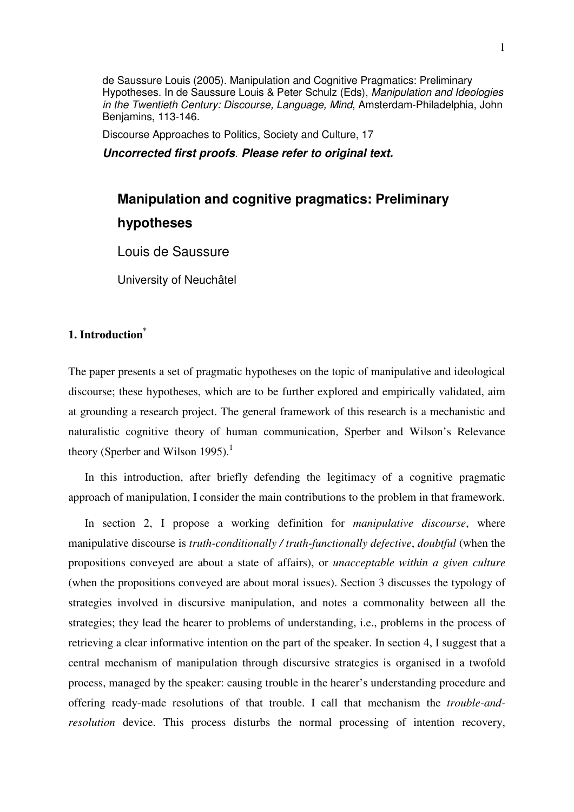de Saussure Louis (2005). Manipulation and Cognitive Pragmatics: Preliminary Hypotheses. In de Saussure Louis & Peter Schulz (Eds), Manipulation and Ideologies in the Twentieth Century: Discourse, Language, Mind, Amsterdam-Philadelphia, John Benjamins, 113-146.

Discourse Approaches to Politics, Society and Culture, 17

**Uncorrected first proofs**. **Please refer to original text.**

# **Manipulation and cognitive pragmatics: Preliminary hypotheses**

Louis de Saussure

University of Neuchâtel

# **1. Introduction\***

The paper presents a set of pragmatic hypotheses on the topic of manipulative and ideological discourse; these hypotheses, which are to be further explored and empirically validated, aim at grounding a research project. The general framework of this research is a mechanistic and naturalistic cognitive theory of human communication, Sperber and Wilson's Relevance theory (Sperber and Wilson 1995).<sup>1</sup>

In this introduction, after briefly defending the legitimacy of a cognitive pragmatic approach of manipulation, I consider the main contributions to the problem in that framework.

In section 2, I propose a working definition for *manipulative discourse*, where manipulative discourse is *truth-conditionally / truth-functionally defective*, *doubtful* (when the propositions conveyed are about a state of affairs), or *unacceptable within a given culture* (when the propositions conveyed are about moral issues). Section 3 discusses the typology of strategies involved in discursive manipulation, and notes a commonality between all the strategies; they lead the hearer to problems of understanding, i.e., problems in the process of retrieving a clear informative intention on the part of the speaker. In section 4, I suggest that a central mechanism of manipulation through discursive strategies is organised in a twofold process, managed by the speaker: causing trouble in the hearer's understanding procedure and offering ready-made resolutions of that trouble. I call that mechanism the *trouble-andresolution* device. This process disturbs the normal processing of intention recovery,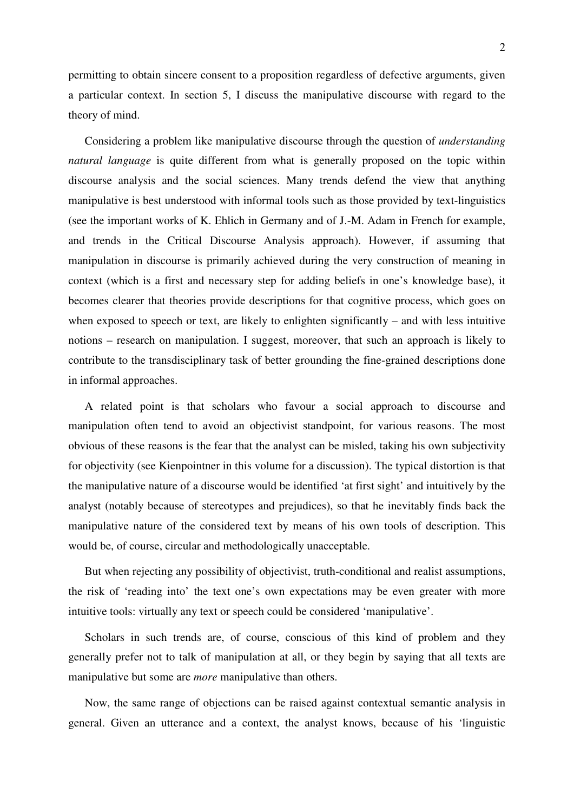permitting to obtain sincere consent to a proposition regardless of defective arguments, given a particular context. In section 5, I discuss the manipulative discourse with regard to the theory of mind.

Considering a problem like manipulative discourse through the question of *understanding natural language* is quite different from what is generally proposed on the topic within discourse analysis and the social sciences. Many trends defend the view that anything manipulative is best understood with informal tools such as those provided by text-linguistics (see the important works of K. Ehlich in Germany and of J.-M. Adam in French for example, and trends in the Critical Discourse Analysis approach). However, if assuming that manipulation in discourse is primarily achieved during the very construction of meaning in context (which is a first and necessary step for adding beliefs in one's knowledge base), it becomes clearer that theories provide descriptions for that cognitive process, which goes on when exposed to speech or text, are likely to enlighten significantly – and with less intuitive notions – research on manipulation. I suggest, moreover, that such an approach is likely to contribute to the transdisciplinary task of better grounding the fine-grained descriptions done in informal approaches.

A related point is that scholars who favour a social approach to discourse and manipulation often tend to avoid an objectivist standpoint, for various reasons. The most obvious of these reasons is the fear that the analyst can be misled, taking his own subjectivity for objectivity (see Kienpointner in this volume for a discussion). The typical distortion is that the manipulative nature of a discourse would be identified 'at first sight' and intuitively by the analyst (notably because of stereotypes and prejudices), so that he inevitably finds back the manipulative nature of the considered text by means of his own tools of description. This would be, of course, circular and methodologically unacceptable.

But when rejecting any possibility of objectivist, truth-conditional and realist assumptions, the risk of 'reading into' the text one's own expectations may be even greater with more intuitive tools: virtually any text or speech could be considered 'manipulative'.

Scholars in such trends are, of course, conscious of this kind of problem and they generally prefer not to talk of manipulation at all, or they begin by saying that all texts are manipulative but some are *more* manipulative than others.

Now, the same range of objections can be raised against contextual semantic analysis in general. Given an utterance and a context, the analyst knows, because of his 'linguistic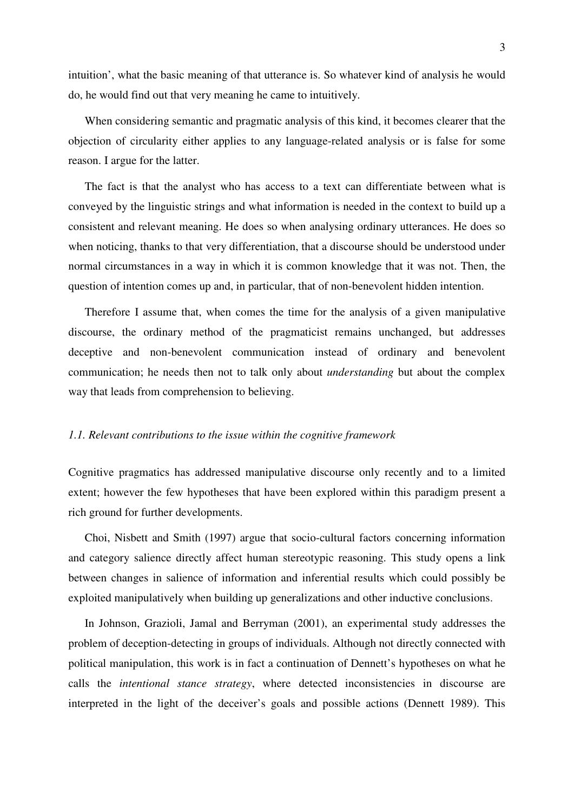intuition', what the basic meaning of that utterance is. So whatever kind of analysis he would do, he would find out that very meaning he came to intuitively.

When considering semantic and pragmatic analysis of this kind, it becomes clearer that the objection of circularity either applies to any language-related analysis or is false for some reason. I argue for the latter.

The fact is that the analyst who has access to a text can differentiate between what is conveyed by the linguistic strings and what information is needed in the context to build up a consistent and relevant meaning. He does so when analysing ordinary utterances. He does so when noticing, thanks to that very differentiation, that a discourse should be understood under normal circumstances in a way in which it is common knowledge that it was not. Then, the question of intention comes up and, in particular, that of non-benevolent hidden intention.

Therefore I assume that, when comes the time for the analysis of a given manipulative discourse, the ordinary method of the pragmaticist remains unchanged, but addresses deceptive and non-benevolent communication instead of ordinary and benevolent communication; he needs then not to talk only about *understanding* but about the complex way that leads from comprehension to believing.

#### *1.1. Relevant contributions to the issue within the cognitive framework*

Cognitive pragmatics has addressed manipulative discourse only recently and to a limited extent; however the few hypotheses that have been explored within this paradigm present a rich ground for further developments.

Choi, Nisbett and Smith (1997) argue that socio-cultural factors concerning information and category salience directly affect human stereotypic reasoning. This study opens a link between changes in salience of information and inferential results which could possibly be exploited manipulatively when building up generalizations and other inductive conclusions.

In Johnson, Grazioli, Jamal and Berryman (2001), an experimental study addresses the problem of deception-detecting in groups of individuals. Although not directly connected with political manipulation, this work is in fact a continuation of Dennett's hypotheses on what he calls the *intentional stance strategy*, where detected inconsistencies in discourse are interpreted in the light of the deceiver's goals and possible actions (Dennett 1989). This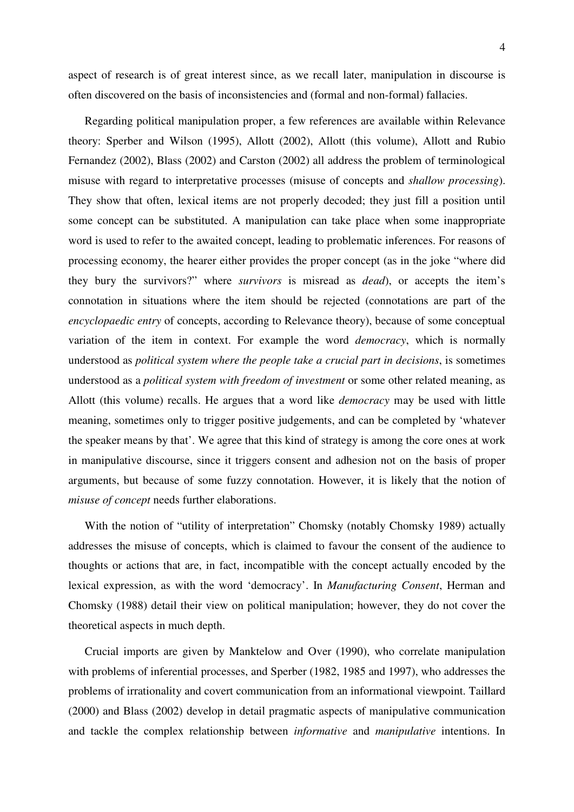aspect of research is of great interest since, as we recall later, manipulation in discourse is often discovered on the basis of inconsistencies and (formal and non-formal) fallacies.

Regarding political manipulation proper, a few references are available within Relevance theory: Sperber and Wilson (1995), Allott (2002), Allott (this volume), Allott and Rubio Fernandez (2002), Blass (2002) and Carston (2002) all address the problem of terminological misuse with regard to interpretative processes (misuse of concepts and *shallow processing*). They show that often, lexical items are not properly decoded; they just fill a position until some concept can be substituted. A manipulation can take place when some inappropriate word is used to refer to the awaited concept, leading to problematic inferences. For reasons of processing economy, the hearer either provides the proper concept (as in the joke "where did they bury the survivors?" where *survivors* is misread as *dead*), or accepts the item's connotation in situations where the item should be rejected (connotations are part of the *encyclopaedic entry* of concepts, according to Relevance theory), because of some conceptual variation of the item in context. For example the word *democracy*, which is normally understood as *political system where the people take a crucial part in decisions*, is sometimes understood as a *political system with freedom of investment* or some other related meaning, as Allott (this volume) recalls. He argues that a word like *democracy* may be used with little meaning, sometimes only to trigger positive judgements, and can be completed by 'whatever the speaker means by that'. We agree that this kind of strategy is among the core ones at work in manipulative discourse, since it triggers consent and adhesion not on the basis of proper arguments, but because of some fuzzy connotation. However, it is likely that the notion of *misuse of concept* needs further elaborations.

With the notion of "utility of interpretation" Chomsky (notably Chomsky 1989) actually addresses the misuse of concepts, which is claimed to favour the consent of the audience to thoughts or actions that are, in fact, incompatible with the concept actually encoded by the lexical expression, as with the word 'democracy'. In *Manufacturing Consent*, Herman and Chomsky (1988) detail their view on political manipulation; however, they do not cover the theoretical aspects in much depth.

Crucial imports are given by Manktelow and Over (1990), who correlate manipulation with problems of inferential processes, and Sperber (1982, 1985 and 1997), who addresses the problems of irrationality and covert communication from an informational viewpoint. Taillard (2000) and Blass (2002) develop in detail pragmatic aspects of manipulative communication and tackle the complex relationship between *informative* and *manipulative* intentions. In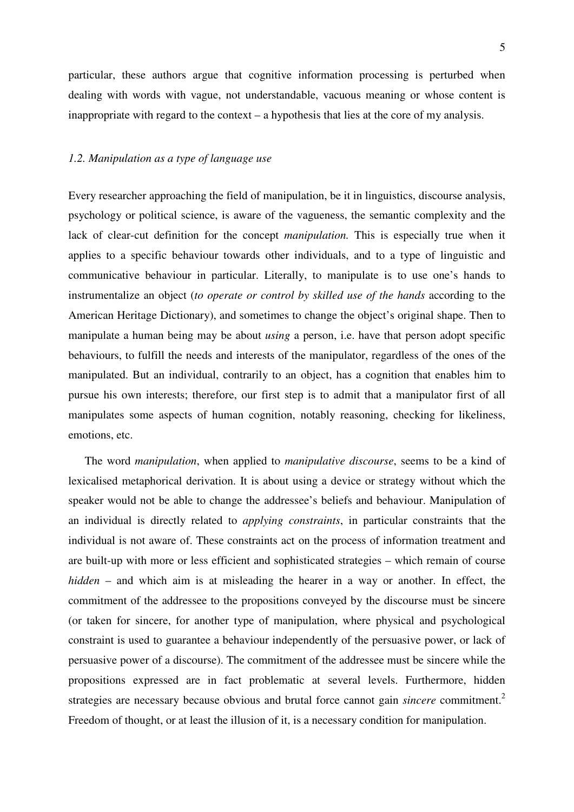particular, these authors argue that cognitive information processing is perturbed when dealing with words with vague, not understandable, vacuous meaning or whose content is inappropriate with regard to the context – a hypothesis that lies at the core of my analysis.

# *1.2. Manipulation as a type of language use*

Every researcher approaching the field of manipulation, be it in linguistics, discourse analysis, psychology or political science, is aware of the vagueness, the semantic complexity and the lack of clear-cut definition for the concept *manipulation.* This is especially true when it applies to a specific behaviour towards other individuals, and to a type of linguistic and communicative behaviour in particular. Literally, to manipulate is to use one's hands to instrumentalize an object (*to operate or control by skilled use of the hands* according to the American Heritage Dictionary), and sometimes to change the object's original shape. Then to manipulate a human being may be about *using* a person, i.e. have that person adopt specific behaviours, to fulfill the needs and interests of the manipulator, regardless of the ones of the manipulated. But an individual, contrarily to an object, has a cognition that enables him to pursue his own interests; therefore, our first step is to admit that a manipulator first of all manipulates some aspects of human cognition, notably reasoning, checking for likeliness, emotions, etc.

The word *manipulation*, when applied to *manipulative discourse*, seems to be a kind of lexicalised metaphorical derivation. It is about using a device or strategy without which the speaker would not be able to change the addressee's beliefs and behaviour. Manipulation of an individual is directly related to *applying constraints*, in particular constraints that the individual is not aware of. These constraints act on the process of information treatment and are built-up with more or less efficient and sophisticated strategies – which remain of course *hidden* – and which aim is at misleading the hearer in a way or another. In effect, the commitment of the addressee to the propositions conveyed by the discourse must be sincere (or taken for sincere, for another type of manipulation, where physical and psychological constraint is used to guarantee a behaviour independently of the persuasive power, or lack of persuasive power of a discourse). The commitment of the addressee must be sincere while the propositions expressed are in fact problematic at several levels. Furthermore, hidden strategies are necessary because obvious and brutal force cannot gain *sincere* commitment.<sup>2</sup> Freedom of thought, or at least the illusion of it, is a necessary condition for manipulation.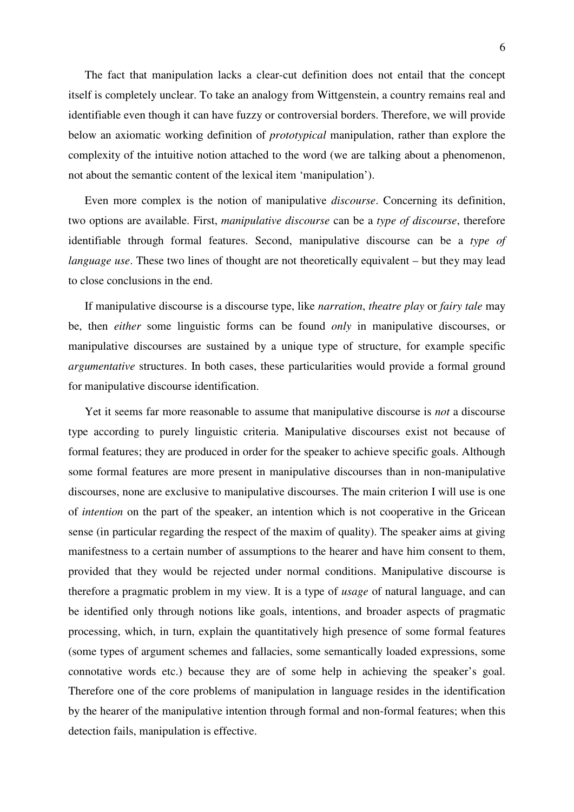The fact that manipulation lacks a clear-cut definition does not entail that the concept itself is completely unclear. To take an analogy from Wittgenstein, a country remains real and identifiable even though it can have fuzzy or controversial borders. Therefore, we will provide below an axiomatic working definition of *prototypical* manipulation, rather than explore the complexity of the intuitive notion attached to the word (we are talking about a phenomenon, not about the semantic content of the lexical item 'manipulation').

Even more complex is the notion of manipulative *discourse*. Concerning its definition, two options are available. First, *manipulative discourse* can be a *type of discourse*, therefore identifiable through formal features. Second, manipulative discourse can be a *type of language use*. These two lines of thought are not theoretically equivalent – but they may lead to close conclusions in the end.

If manipulative discourse is a discourse type, like *narration*, *theatre play* or *fairy tale* may be, then *either* some linguistic forms can be found *only* in manipulative discourses, or manipulative discourses are sustained by a unique type of structure, for example specific *argumentative* structures. In both cases, these particularities would provide a formal ground for manipulative discourse identification.

Yet it seems far more reasonable to assume that manipulative discourse is *not* a discourse type according to purely linguistic criteria. Manipulative discourses exist not because of formal features; they are produced in order for the speaker to achieve specific goals. Although some formal features are more present in manipulative discourses than in non-manipulative discourses, none are exclusive to manipulative discourses. The main criterion I will use is one of *intention* on the part of the speaker, an intention which is not cooperative in the Gricean sense (in particular regarding the respect of the maxim of quality). The speaker aims at giving manifestness to a certain number of assumptions to the hearer and have him consent to them, provided that they would be rejected under normal conditions. Manipulative discourse is therefore a pragmatic problem in my view. It is a type of *usage* of natural language, and can be identified only through notions like goals, intentions, and broader aspects of pragmatic processing, which, in turn, explain the quantitatively high presence of some formal features (some types of argument schemes and fallacies, some semantically loaded expressions, some connotative words etc.) because they are of some help in achieving the speaker's goal. Therefore one of the core problems of manipulation in language resides in the identification by the hearer of the manipulative intention through formal and non-formal features; when this detection fails, manipulation is effective.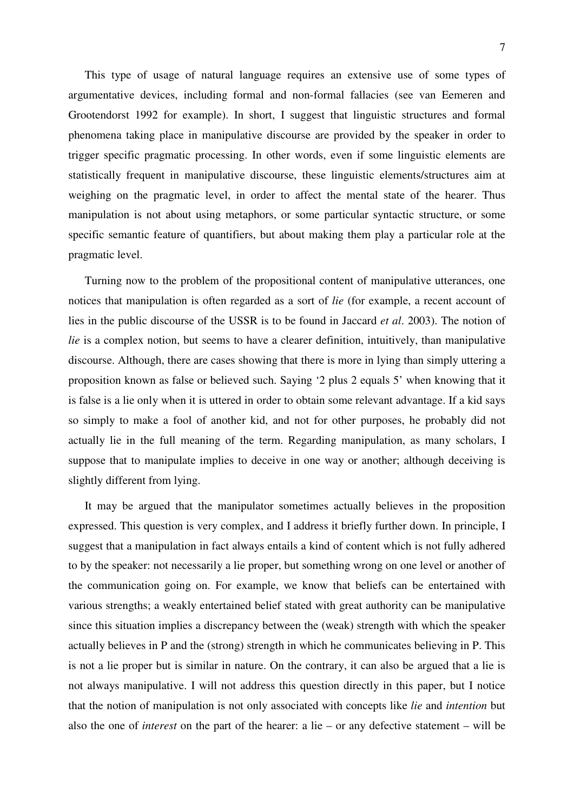This type of usage of natural language requires an extensive use of some types of argumentative devices, including formal and non-formal fallacies (see van Eemeren and Grootendorst 1992 for example). In short, I suggest that linguistic structures and formal phenomena taking place in manipulative discourse are provided by the speaker in order to trigger specific pragmatic processing. In other words, even if some linguistic elements are statistically frequent in manipulative discourse, these linguistic elements/structures aim at weighing on the pragmatic level, in order to affect the mental state of the hearer. Thus manipulation is not about using metaphors, or some particular syntactic structure, or some specific semantic feature of quantifiers, but about making them play a particular role at the pragmatic level.

Turning now to the problem of the propositional content of manipulative utterances, one notices that manipulation is often regarded as a sort of *lie* (for example, a recent account of lies in the public discourse of the USSR is to be found in Jaccard *et al*. 2003). The notion of *lie* is a complex notion, but seems to have a clearer definition, intuitively, than manipulative discourse. Although, there are cases showing that there is more in lying than simply uttering a proposition known as false or believed such. Saying '2 plus 2 equals 5' when knowing that it is false is a lie only when it is uttered in order to obtain some relevant advantage. If a kid says so simply to make a fool of another kid, and not for other purposes, he probably did not actually lie in the full meaning of the term. Regarding manipulation, as many scholars, I suppose that to manipulate implies to deceive in one way or another; although deceiving is slightly different from lying.

It may be argued that the manipulator sometimes actually believes in the proposition expressed. This question is very complex, and I address it briefly further down. In principle, I suggest that a manipulation in fact always entails a kind of content which is not fully adhered to by the speaker: not necessarily a lie proper, but something wrong on one level or another of the communication going on. For example, we know that beliefs can be entertained with various strengths; a weakly entertained belief stated with great authority can be manipulative since this situation implies a discrepancy between the (weak) strength with which the speaker actually believes in P and the (strong) strength in which he communicates believing in P. This is not a lie proper but is similar in nature. On the contrary, it can also be argued that a lie is not always manipulative. I will not address this question directly in this paper, but I notice that the notion of manipulation is not only associated with concepts like *lie* and *intention* but also the one of *interest* on the part of the hearer: a lie – or any defective statement – will be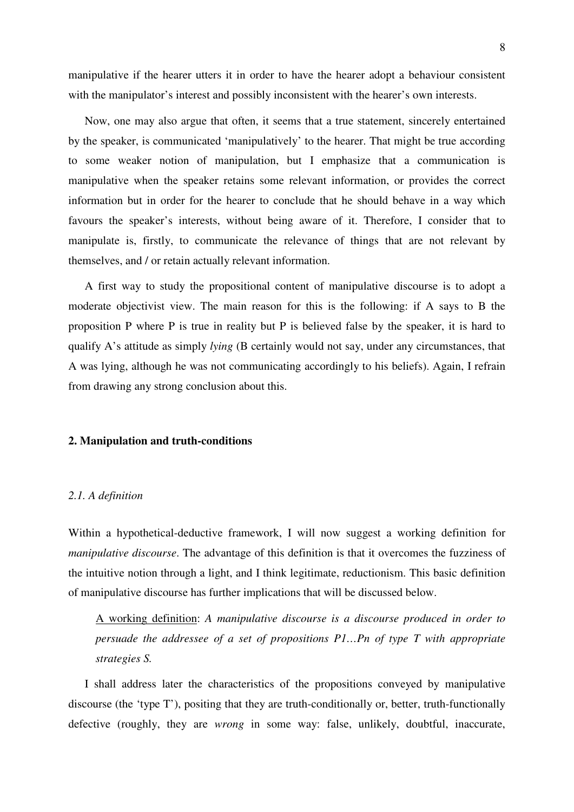manipulative if the hearer utters it in order to have the hearer adopt a behaviour consistent with the manipulator's interest and possibly inconsistent with the hearer's own interests.

Now, one may also argue that often, it seems that a true statement, sincerely entertained by the speaker, is communicated 'manipulatively' to the hearer. That might be true according to some weaker notion of manipulation, but I emphasize that a communication is manipulative when the speaker retains some relevant information, or provides the correct information but in order for the hearer to conclude that he should behave in a way which favours the speaker's interests, without being aware of it. Therefore, I consider that to manipulate is, firstly, to communicate the relevance of things that are not relevant by themselves, and / or retain actually relevant information.

A first way to study the propositional content of manipulative discourse is to adopt a moderate objectivist view. The main reason for this is the following: if A says to B the proposition P where P is true in reality but P is believed false by the speaker, it is hard to qualify A's attitude as simply *lying* (B certainly would not say, under any circumstances, that A was lying, although he was not communicating accordingly to his beliefs). Again, I refrain from drawing any strong conclusion about this.

# **2. Manipulation and truth-conditions**

#### *2.1. A definition*

Within a hypothetical-deductive framework, I will now suggest a working definition for *manipulative discourse*. The advantage of this definition is that it overcomes the fuzziness of the intuitive notion through a light, and I think legitimate, reductionism. This basic definition of manipulative discourse has further implications that will be discussed below.

A working definition: *A manipulative discourse is a discourse produced in order to persuade the addressee of a set of propositions P1…Pn of type T with appropriate strategies S.* 

I shall address later the characteristics of the propositions conveyed by manipulative discourse (the 'type T'), positing that they are truth-conditionally or, better, truth-functionally defective (roughly, they are *wrong* in some way: false, unlikely, doubtful, inaccurate,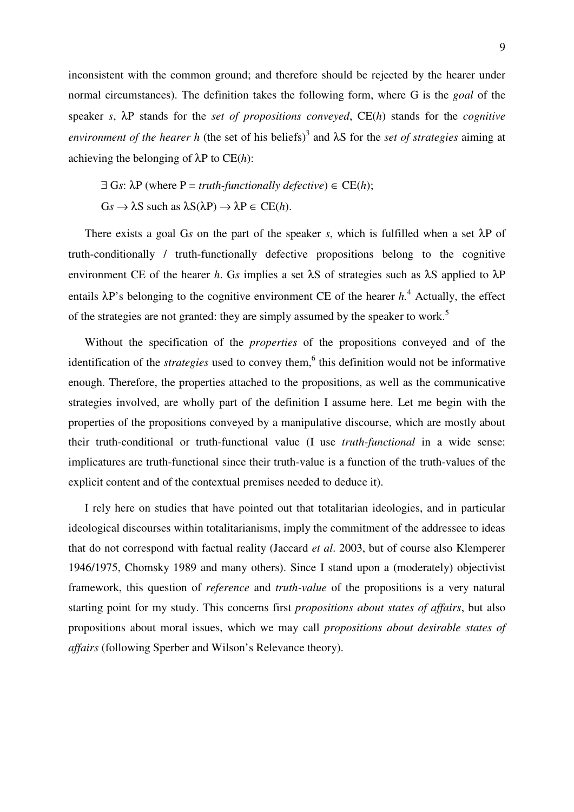inconsistent with the common ground; and therefore should be rejected by the hearer under normal circumstances). The definition takes the following form, where G is the *goal* of the speaker *s*, λP stands for the *set of propositions conveyed*, CE(*h*) stands for the *cognitive environment of the hearer h* (the set of his beliefs)<sup>3</sup> and  $\lambda$ S for the *set of strategies* aiming at achieving the belonging of  $\lambda P$  to  $CE(h)$ :

 $\exists$  Gs:  $\lambda$ P (where P = *truth-functionally defective*)  $\in$  CE(*h*);  $Gs \rightarrow \lambda S$  such as  $\lambda S(\lambda P) \rightarrow \lambda P \in CE(h)$ .

There exists a goal G*s* on the part of the speaker *s*, which is fulfilled when a set λP of truth-conditionally / truth-functionally defective propositions belong to the cognitive environment CE of the hearer *h*. Gs implies a set  $\lambda$ S of strategies such as  $\lambda$ S applied to  $\lambda$ P entails  $\lambda$ P's belonging to the cognitive environment CE of the hearer  $h$ <sup>4</sup> Actually, the effect of the strategies are not granted: they are simply assumed by the speaker to work.<sup>5</sup>

Without the specification of the *properties* of the propositions conveyed and of the identification of the *strategies* used to convey them,<sup>6</sup> this definition would not be informative enough. Therefore, the properties attached to the propositions, as well as the communicative strategies involved, are wholly part of the definition I assume here. Let me begin with the properties of the propositions conveyed by a manipulative discourse, which are mostly about their truth-conditional or truth-functional value (I use *truth-functional* in a wide sense: implicatures are truth-functional since their truth-value is a function of the truth-values of the explicit content and of the contextual premises needed to deduce it).

I rely here on studies that have pointed out that totalitarian ideologies, and in particular ideological discourses within totalitarianisms, imply the commitment of the addressee to ideas that do not correspond with factual reality (Jaccard *et al*. 2003, but of course also Klemperer 1946/1975, Chomsky 1989 and many others). Since I stand upon a (moderately) objectivist framework, this question of *reference* and *truth-value* of the propositions is a very natural starting point for my study. This concerns first *propositions about states of affairs*, but also propositions about moral issues, which we may call *propositions about desirable states of affairs* (following Sperber and Wilson's Relevance theory).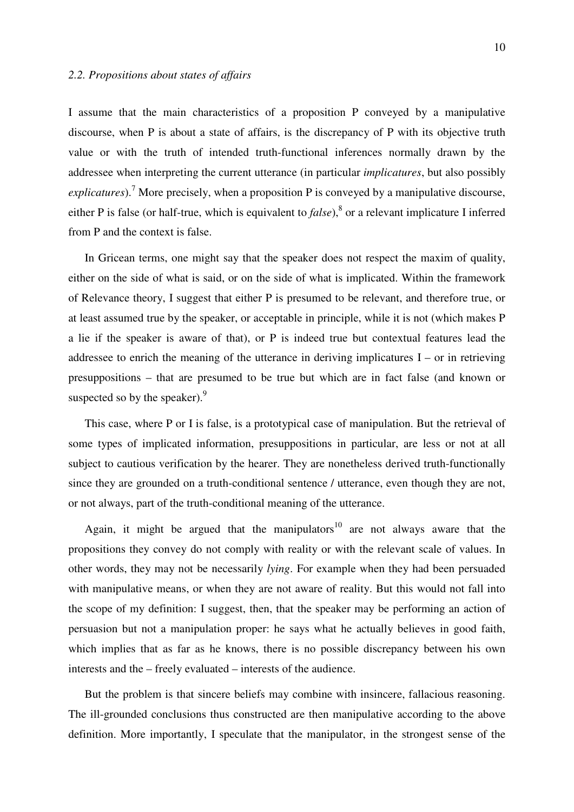I assume that the main characteristics of a proposition P conveyed by a manipulative discourse, when P is about a state of affairs, is the discrepancy of P with its objective truth value or with the truth of intended truth-functional inferences normally drawn by the addressee when interpreting the current utterance (in particular *implicatures*, but also possibly explicatures).<sup>7</sup> More precisely, when a proposition P is conveyed by a manipulative discourse, either P is false (or half-true, which is equivalent to  $false$ ),  $\delta$  or a relevant implicature I inferred from P and the context is false.

In Gricean terms, one might say that the speaker does not respect the maxim of quality, either on the side of what is said, or on the side of what is implicated. Within the framework of Relevance theory, I suggest that either P is presumed to be relevant, and therefore true, or at least assumed true by the speaker, or acceptable in principle, while it is not (which makes P a lie if the speaker is aware of that), or P is indeed true but contextual features lead the addressee to enrich the meaning of the utterance in deriving implicatures I – or in retrieving presuppositions – that are presumed to be true but which are in fact false (and known or suspected so by the speaker).<sup>9</sup>

This case, where P or I is false, is a prototypical case of manipulation. But the retrieval of some types of implicated information, presuppositions in particular, are less or not at all subject to cautious verification by the hearer. They are nonetheless derived truth-functionally since they are grounded on a truth-conditional sentence / utterance, even though they are not, or not always, part of the truth-conditional meaning of the utterance.

Again, it might be argued that the manipulators<sup>10</sup> are not always aware that the propositions they convey do not comply with reality or with the relevant scale of values. In other words, they may not be necessarily *lying*. For example when they had been persuaded with manipulative means, or when they are not aware of reality. But this would not fall into the scope of my definition: I suggest, then, that the speaker may be performing an action of persuasion but not a manipulation proper: he says what he actually believes in good faith, which implies that as far as he knows, there is no possible discrepancy between his own interests and the – freely evaluated – interests of the audience.

But the problem is that sincere beliefs may combine with insincere, fallacious reasoning. The ill-grounded conclusions thus constructed are then manipulative according to the above definition. More importantly, I speculate that the manipulator, in the strongest sense of the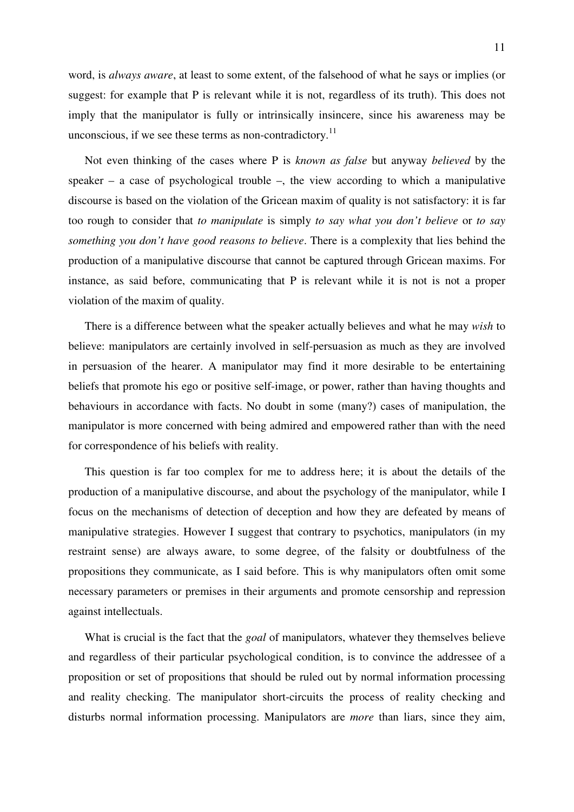word, is *always aware*, at least to some extent, of the falsehood of what he says or implies (or suggest: for example that P is relevant while it is not, regardless of its truth). This does not imply that the manipulator is fully or intrinsically insincere, since his awareness may be unconscious, if we see these terms as non-contradictory. $11$ 

Not even thinking of the cases where P is *known as false* but anyway *believed* by the speaker – a case of psychological trouble –, the view according to which a manipulative discourse is based on the violation of the Gricean maxim of quality is not satisfactory: it is far too rough to consider that *to manipulate* is simply *to say what you don't believe* or *to say something you don't have good reasons to believe*. There is a complexity that lies behind the production of a manipulative discourse that cannot be captured through Gricean maxims. For instance, as said before, communicating that P is relevant while it is not is not a proper violation of the maxim of quality.

There is a difference between what the speaker actually believes and what he may *wish* to believe: manipulators are certainly involved in self-persuasion as much as they are involved in persuasion of the hearer. A manipulator may find it more desirable to be entertaining beliefs that promote his ego or positive self-image, or power, rather than having thoughts and behaviours in accordance with facts. No doubt in some (many?) cases of manipulation, the manipulator is more concerned with being admired and empowered rather than with the need for correspondence of his beliefs with reality.

This question is far too complex for me to address here; it is about the details of the production of a manipulative discourse, and about the psychology of the manipulator, while I focus on the mechanisms of detection of deception and how they are defeated by means of manipulative strategies. However I suggest that contrary to psychotics, manipulators (in my restraint sense) are always aware, to some degree, of the falsity or doubtfulness of the propositions they communicate, as I said before. This is why manipulators often omit some necessary parameters or premises in their arguments and promote censorship and repression against intellectuals.

What is crucial is the fact that the *goal* of manipulators, whatever they themselves believe and regardless of their particular psychological condition, is to convince the addressee of a proposition or set of propositions that should be ruled out by normal information processing and reality checking. The manipulator short-circuits the process of reality checking and disturbs normal information processing. Manipulators are *more* than liars, since they aim,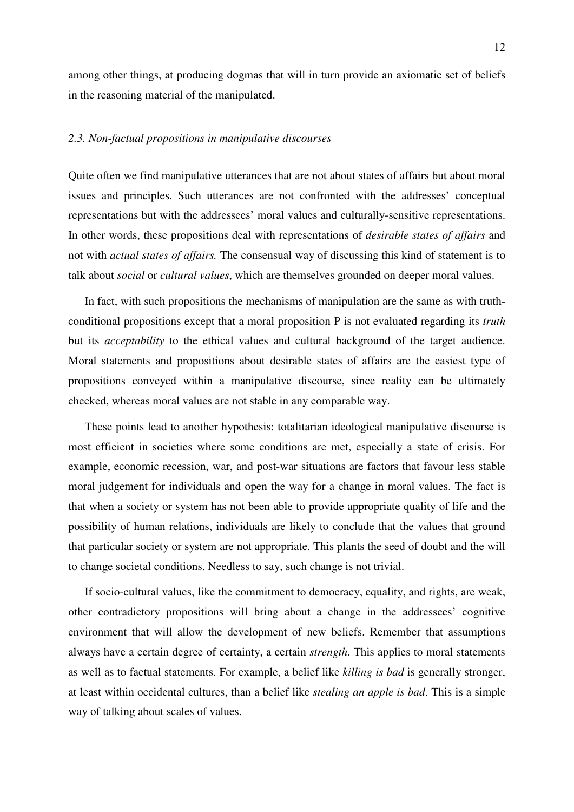among other things, at producing dogmas that will in turn provide an axiomatic set of beliefs in the reasoning material of the manipulated.

#### *2.3. Non-factual propositions in manipulative discourses*

Quite often we find manipulative utterances that are not about states of affairs but about moral issues and principles. Such utterances are not confronted with the addresses' conceptual representations but with the addressees' moral values and culturally-sensitive representations. In other words, these propositions deal with representations of *desirable states of affairs* and not with *actual states of affairs.* The consensual way of discussing this kind of statement is to talk about *social* or *cultural values*, which are themselves grounded on deeper moral values.

In fact, with such propositions the mechanisms of manipulation are the same as with truthconditional propositions except that a moral proposition P is not evaluated regarding its *truth* but its *acceptability* to the ethical values and cultural background of the target audience. Moral statements and propositions about desirable states of affairs are the easiest type of propositions conveyed within a manipulative discourse, since reality can be ultimately checked, whereas moral values are not stable in any comparable way.

These points lead to another hypothesis: totalitarian ideological manipulative discourse is most efficient in societies where some conditions are met, especially a state of crisis. For example, economic recession, war, and post-war situations are factors that favour less stable moral judgement for individuals and open the way for a change in moral values. The fact is that when a society or system has not been able to provide appropriate quality of life and the possibility of human relations, individuals are likely to conclude that the values that ground that particular society or system are not appropriate. This plants the seed of doubt and the will to change societal conditions. Needless to say, such change is not trivial.

If socio-cultural values, like the commitment to democracy, equality, and rights, are weak, other contradictory propositions will bring about a change in the addressees' cognitive environment that will allow the development of new beliefs. Remember that assumptions always have a certain degree of certainty, a certain *strength*. This applies to moral statements as well as to factual statements. For example, a belief like *killing is bad* is generally stronger, at least within occidental cultures, than a belief like *stealing an apple is bad*. This is a simple way of talking about scales of values.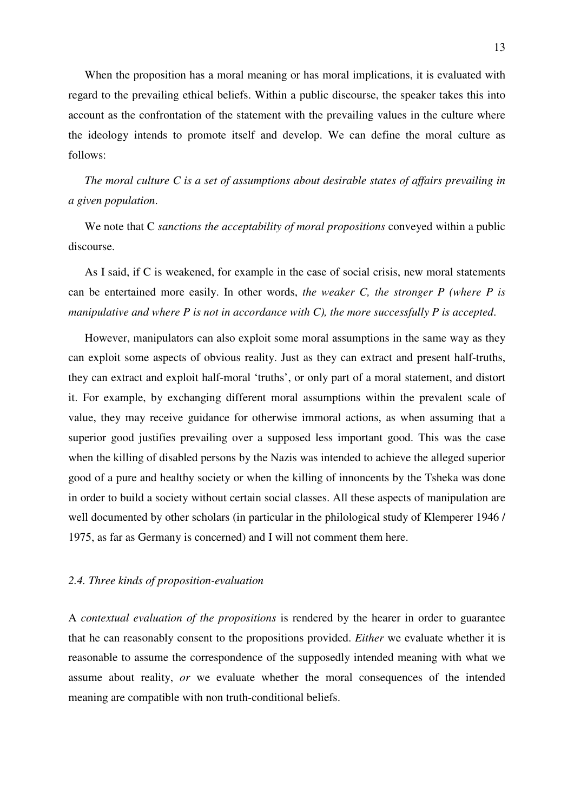When the proposition has a moral meaning or has moral implications, it is evaluated with regard to the prevailing ethical beliefs. Within a public discourse, the speaker takes this into account as the confrontation of the statement with the prevailing values in the culture where the ideology intends to promote itself and develop. We can define the moral culture as follows:

*The moral culture C is a set of assumptions about desirable states of affairs prevailing in a given population*.

We note that C *sanctions the acceptability of moral propositions* conveyed within a public discourse.

As I said, if C is weakened, for example in the case of social crisis, new moral statements can be entertained more easily. In other words, *the weaker C, the stronger P (where P is manipulative and where P is not in accordance with C), the more successfully P is accepted*.

However, manipulators can also exploit some moral assumptions in the same way as they can exploit some aspects of obvious reality. Just as they can extract and present half-truths, they can extract and exploit half-moral 'truths', or only part of a moral statement, and distort it. For example, by exchanging different moral assumptions within the prevalent scale of value, they may receive guidance for otherwise immoral actions, as when assuming that a superior good justifies prevailing over a supposed less important good. This was the case when the killing of disabled persons by the Nazis was intended to achieve the alleged superior good of a pure and healthy society or when the killing of innoncents by the Tsheka was done in order to build a society without certain social classes. All these aspects of manipulation are well documented by other scholars (in particular in the philological study of Klemperer 1946 / 1975, as far as Germany is concerned) and I will not comment them here.

# *2.4. Three kinds of proposition-evaluation*

A *contextual evaluation of the propositions* is rendered by the hearer in order to guarantee that he can reasonably consent to the propositions provided. *Either* we evaluate whether it is reasonable to assume the correspondence of the supposedly intended meaning with what we assume about reality, *or* we evaluate whether the moral consequences of the intended meaning are compatible with non truth-conditional beliefs.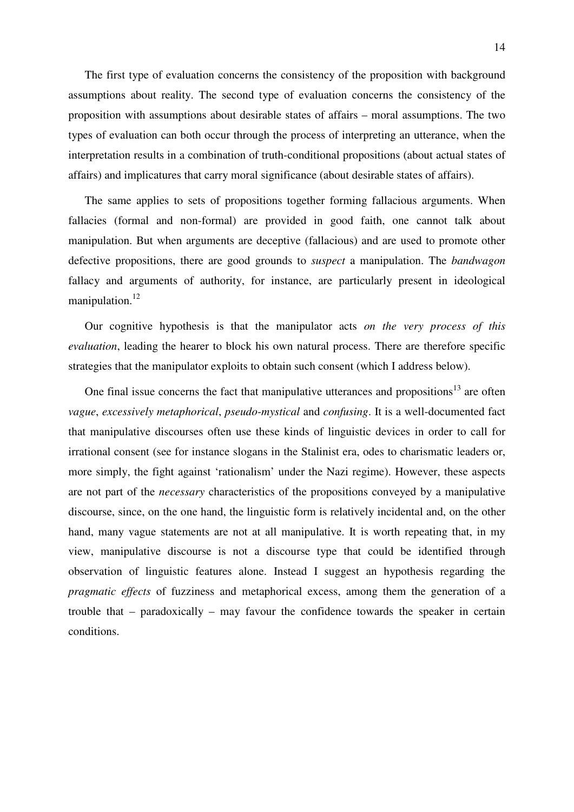The first type of evaluation concerns the consistency of the proposition with background assumptions about reality. The second type of evaluation concerns the consistency of the proposition with assumptions about desirable states of affairs – moral assumptions. The two types of evaluation can both occur through the process of interpreting an utterance, when the interpretation results in a combination of truth-conditional propositions (about actual states of affairs) and implicatures that carry moral significance (about desirable states of affairs).

The same applies to sets of propositions together forming fallacious arguments. When fallacies (formal and non-formal) are provided in good faith, one cannot talk about manipulation. But when arguments are deceptive (fallacious) and are used to promote other defective propositions, there are good grounds to *suspect* a manipulation. The *bandwagon* fallacy and arguments of authority, for instance, are particularly present in ideological manipulation.<sup>12</sup>

Our cognitive hypothesis is that the manipulator acts *on the very process of this evaluation*, leading the hearer to block his own natural process. There are therefore specific strategies that the manipulator exploits to obtain such consent (which I address below).

One final issue concerns the fact that manipulative utterances and propositions $13$  are often *vague*, *excessively metaphorical*, *pseudo-mystical* and *confusing*. It is a well-documented fact that manipulative discourses often use these kinds of linguistic devices in order to call for irrational consent (see for instance slogans in the Stalinist era, odes to charismatic leaders or, more simply, the fight against 'rationalism' under the Nazi regime). However, these aspects are not part of the *necessary* characteristics of the propositions conveyed by a manipulative discourse, since, on the one hand, the linguistic form is relatively incidental and, on the other hand, many vague statements are not at all manipulative. It is worth repeating that, in my view, manipulative discourse is not a discourse type that could be identified through observation of linguistic features alone. Instead I suggest an hypothesis regarding the *pragmatic effects* of fuzziness and metaphorical excess, among them the generation of a trouble that – paradoxically – may favour the confidence towards the speaker in certain conditions.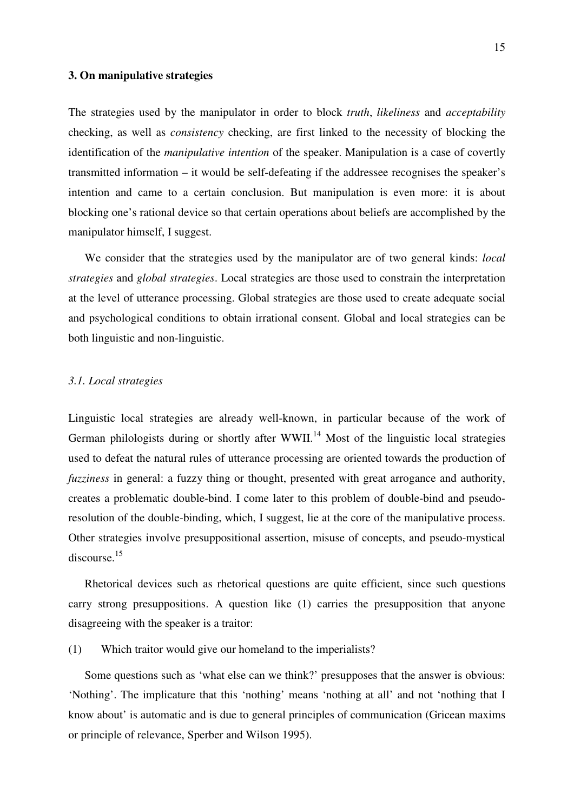#### **3. On manipulative strategies**

The strategies used by the manipulator in order to block *truth*, *likeliness* and *acceptability* checking, as well as *consistency* checking, are first linked to the necessity of blocking the identification of the *manipulative intention* of the speaker. Manipulation is a case of covertly transmitted information – it would be self-defeating if the addressee recognises the speaker's intention and came to a certain conclusion. But manipulation is even more: it is about blocking one's rational device so that certain operations about beliefs are accomplished by the manipulator himself, I suggest.

We consider that the strategies used by the manipulator are of two general kinds: *local strategies* and *global strategies*. Local strategies are those used to constrain the interpretation at the level of utterance processing. Global strategies are those used to create adequate social and psychological conditions to obtain irrational consent. Global and local strategies can be both linguistic and non-linguistic.

#### *3.1. Local strategies*

Linguistic local strategies are already well-known, in particular because of the work of German philologists during or shortly after WWII.<sup>14</sup> Most of the linguistic local strategies used to defeat the natural rules of utterance processing are oriented towards the production of *fuzziness* in general: a fuzzy thing or thought, presented with great arrogance and authority, creates a problematic double-bind. I come later to this problem of double-bind and pseudoresolution of the double-binding, which, I suggest, lie at the core of the manipulative process. Other strategies involve presuppositional assertion, misuse of concepts, and pseudo-mystical discourse.<sup>15</sup>

Rhetorical devices such as rhetorical questions are quite efficient, since such questions carry strong presuppositions. A question like (1) carries the presupposition that anyone disagreeing with the speaker is a traitor:

(1) Which traitor would give our homeland to the imperialists?

Some questions such as 'what else can we think?' presupposes that the answer is obvious: 'Nothing'. The implicature that this 'nothing' means 'nothing at all' and not 'nothing that I know about' is automatic and is due to general principles of communication (Gricean maxims or principle of relevance, Sperber and Wilson 1995).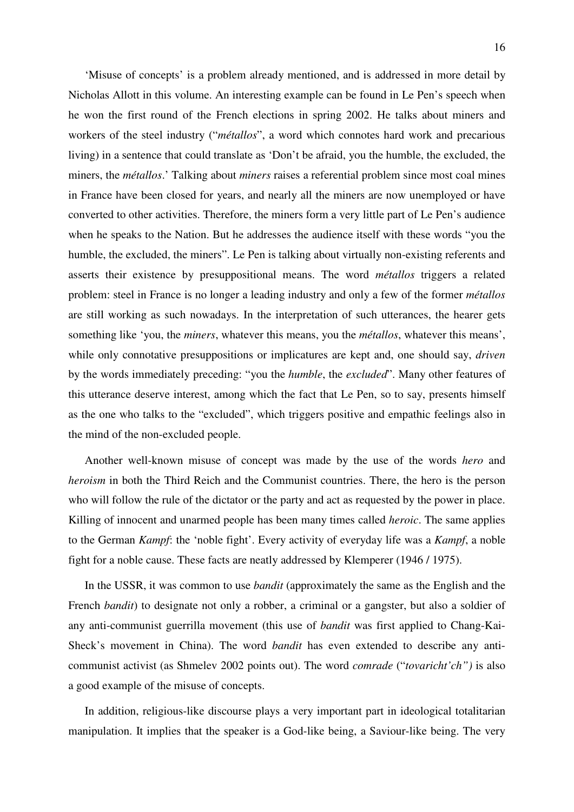'Misuse of concepts' is a problem already mentioned, and is addressed in more detail by Nicholas Allott in this volume. An interesting example can be found in Le Pen's speech when he won the first round of the French elections in spring 2002. He talks about miners and workers of the steel industry ("*métallos*", a word which connotes hard work and precarious living) in a sentence that could translate as 'Don't be afraid, you the humble, the excluded, the miners, the *métallos*.' Talking about *miners* raises a referential problem since most coal mines in France have been closed for years, and nearly all the miners are now unemployed or have converted to other activities. Therefore, the miners form a very little part of Le Pen's audience when he speaks to the Nation. But he addresses the audience itself with these words "you the humble, the excluded, the miners". Le Pen is talking about virtually non-existing referents and asserts their existence by presuppositional means. The word *métallos* triggers a related problem: steel in France is no longer a leading industry and only a few of the former *métallos* are still working as such nowadays. In the interpretation of such utterances, the hearer gets something like 'you, the *miners*, whatever this means, you the *métallos*, whatever this means', while only connotative presuppositions or implicatures are kept and, one should say, *driven* by the words immediately preceding: "you the *humble*, the *excluded*". Many other features of this utterance deserve interest, among which the fact that Le Pen, so to say, presents himself as the one who talks to the "excluded", which triggers positive and empathic feelings also in the mind of the non-excluded people.

Another well-known misuse of concept was made by the use of the words *hero* and *heroism* in both the Third Reich and the Communist countries. There, the hero is the person who will follow the rule of the dictator or the party and act as requested by the power in place. Killing of innocent and unarmed people has been many times called *heroic*. The same applies to the German *Kampf*: the 'noble fight'. Every activity of everyday life was a *Kampf*, a noble fight for a noble cause. These facts are neatly addressed by Klemperer (1946 / 1975).

In the USSR, it was common to use *bandit* (approximately the same as the English and the French *bandit*) to designate not only a robber, a criminal or a gangster, but also a soldier of any anti-communist guerrilla movement (this use of *bandit* was first applied to Chang-Kai-Sheck's movement in China). The word *bandit* has even extended to describe any anticommunist activist (as Shmelev 2002 points out). The word *comrade* ("*tovaricht'ch")* is also a good example of the misuse of concepts.

In addition, religious-like discourse plays a very important part in ideological totalitarian manipulation. It implies that the speaker is a God-like being, a Saviour-like being. The very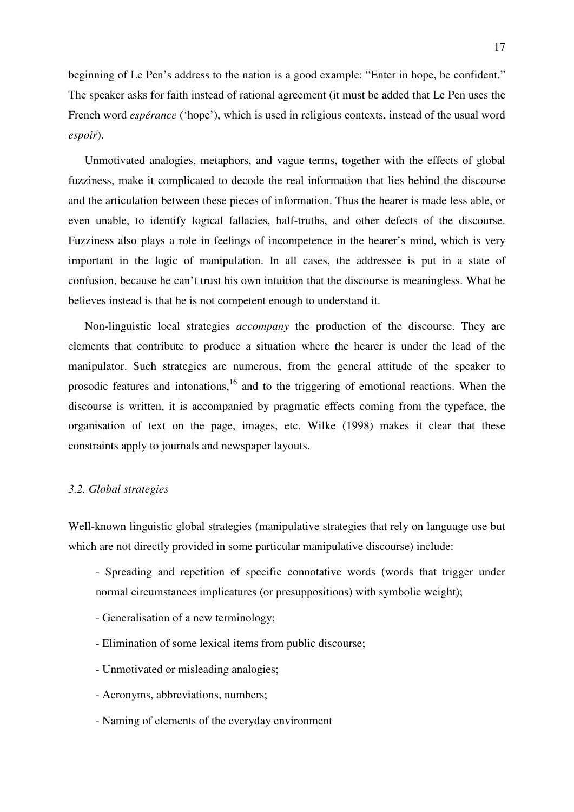beginning of Le Pen's address to the nation is a good example: "Enter in hope, be confident." The speaker asks for faith instead of rational agreement (it must be added that Le Pen uses the French word *espérance* ('hope'), which is used in religious contexts, instead of the usual word *espoir*).

Unmotivated analogies, metaphors, and vague terms, together with the effects of global fuzziness, make it complicated to decode the real information that lies behind the discourse and the articulation between these pieces of information. Thus the hearer is made less able, or even unable, to identify logical fallacies, half-truths, and other defects of the discourse. Fuzziness also plays a role in feelings of incompetence in the hearer's mind, which is very important in the logic of manipulation. In all cases, the addressee is put in a state of confusion, because he can't trust his own intuition that the discourse is meaningless. What he believes instead is that he is not competent enough to understand it.

Non-linguistic local strategies *accompany* the production of the discourse. They are elements that contribute to produce a situation where the hearer is under the lead of the manipulator. Such strategies are numerous, from the general attitude of the speaker to prosodic features and intonations,<sup>16</sup> and to the triggering of emotional reactions. When the discourse is written, it is accompanied by pragmatic effects coming from the typeface, the organisation of text on the page, images, etc. Wilke (1998) makes it clear that these constraints apply to journals and newspaper layouts.

# *3.2. Global strategies*

Well-known linguistic global strategies (manipulative strategies that rely on language use but which are not directly provided in some particular manipulative discourse) include:

- Spreading and repetition of specific connotative words (words that trigger under normal circumstances implicatures (or presuppositions) with symbolic weight);
- Generalisation of a new terminology;
- Elimination of some lexical items from public discourse;
- Unmotivated or misleading analogies;
- Acronyms, abbreviations, numbers;
- Naming of elements of the everyday environment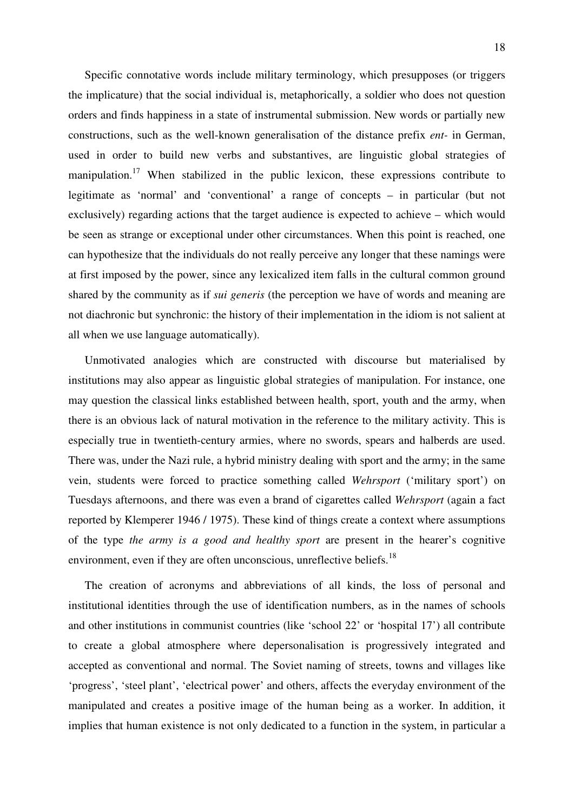Specific connotative words include military terminology, which presupposes (or triggers the implicature) that the social individual is, metaphorically, a soldier who does not question orders and finds happiness in a state of instrumental submission. New words or partially new constructions, such as the well-known generalisation of the distance prefix *ent-* in German, used in order to build new verbs and substantives, are linguistic global strategies of manipulation.<sup>17</sup> When stabilized in the public lexicon, these expressions contribute to legitimate as 'normal' and 'conventional' a range of concepts – in particular (but not exclusively) regarding actions that the target audience is expected to achieve – which would be seen as strange or exceptional under other circumstances. When this point is reached, one can hypothesize that the individuals do not really perceive any longer that these namings were at first imposed by the power, since any lexicalized item falls in the cultural common ground shared by the community as if *sui generis* (the perception we have of words and meaning are not diachronic but synchronic: the history of their implementation in the idiom is not salient at all when we use language automatically).

Unmotivated analogies which are constructed with discourse but materialised by institutions may also appear as linguistic global strategies of manipulation. For instance, one may question the classical links established between health, sport, youth and the army, when there is an obvious lack of natural motivation in the reference to the military activity. This is especially true in twentieth-century armies, where no swords, spears and halberds are used. There was, under the Nazi rule, a hybrid ministry dealing with sport and the army; in the same vein, students were forced to practice something called *Wehrsport* ('military sport') on Tuesdays afternoons, and there was even a brand of cigarettes called *Wehrsport* (again a fact reported by Klemperer 1946 / 1975). These kind of things create a context where assumptions of the type *the army is a good and healthy sport* are present in the hearer's cognitive environment, even if they are often unconscious, unreflective beliefs.<sup>18</sup>

The creation of acronyms and abbreviations of all kinds, the loss of personal and institutional identities through the use of identification numbers, as in the names of schools and other institutions in communist countries (like 'school 22' or 'hospital 17') all contribute to create a global atmosphere where depersonalisation is progressively integrated and accepted as conventional and normal. The Soviet naming of streets, towns and villages like 'progress', 'steel plant', 'electrical power' and others, affects the everyday environment of the manipulated and creates a positive image of the human being as a worker. In addition, it implies that human existence is not only dedicated to a function in the system, in particular a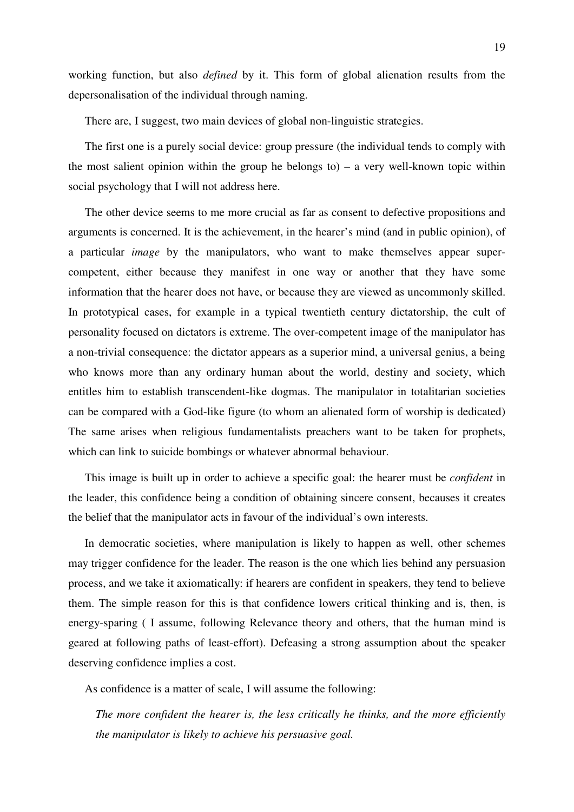working function, but also *defined* by it. This form of global alienation results from the depersonalisation of the individual through naming.

There are, I suggest, two main devices of global non-linguistic strategies.

The first one is a purely social device: group pressure (the individual tends to comply with the most salient opinion within the group he belongs to  $-$  a very well-known topic within social psychology that I will not address here.

The other device seems to me more crucial as far as consent to defective propositions and arguments is concerned. It is the achievement, in the hearer's mind (and in public opinion), of a particular *image* by the manipulators, who want to make themselves appear supercompetent, either because they manifest in one way or another that they have some information that the hearer does not have, or because they are viewed as uncommonly skilled. In prototypical cases, for example in a typical twentieth century dictatorship, the cult of personality focused on dictators is extreme. The over-competent image of the manipulator has a non-trivial consequence: the dictator appears as a superior mind, a universal genius, a being who knows more than any ordinary human about the world, destiny and society, which entitles him to establish transcendent-like dogmas. The manipulator in totalitarian societies can be compared with a God-like figure (to whom an alienated form of worship is dedicated) The same arises when religious fundamentalists preachers want to be taken for prophets, which can link to suicide bombings or whatever abnormal behaviour.

This image is built up in order to achieve a specific goal: the hearer must be *confident* in the leader, this confidence being a condition of obtaining sincere consent, becauses it creates the belief that the manipulator acts in favour of the individual's own interests.

In democratic societies, where manipulation is likely to happen as well, other schemes may trigger confidence for the leader. The reason is the one which lies behind any persuasion process, and we take it axiomatically: if hearers are confident in speakers, they tend to believe them. The simple reason for this is that confidence lowers critical thinking and is, then, is energy-sparing ( I assume, following Relevance theory and others, that the human mind is geared at following paths of least-effort). Defeasing a strong assumption about the speaker deserving confidence implies a cost.

As confidence is a matter of scale, I will assume the following:

*The more confident the hearer is, the less critically he thinks, and the more efficiently the manipulator is likely to achieve his persuasive goal.*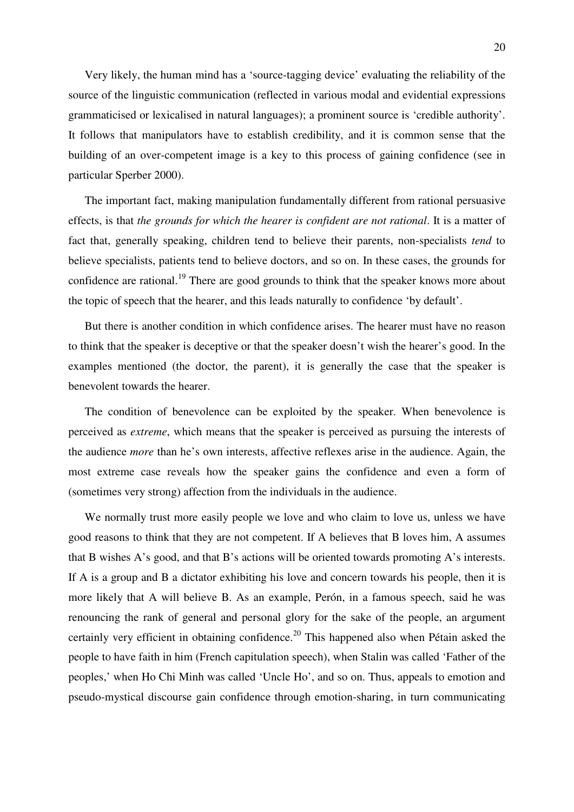Very likely, the human mind has a 'source-tagging device' evaluating the reliability of the source of the linguistic communication (reflected in various modal and evidential expressions grammaticised or lexicalised in natural languages); a prominent source is 'credible authority'. It follows that manipulators have to establish credibility, and it is common sense that the building of an over-competent image is a key to this process of gaining confidence (see in particular Sperber 2000).

The important fact, making manipulation fundamentally different from rational persuasive effects, is that *the grounds for which the hearer is confident are not rational*. It is a matter of fact that, generally speaking, children tend to believe their parents, non-specialists *tend* to believe specialists, patients tend to believe doctors, and so on. In these cases, the grounds for confidence are rational.<sup>19</sup> There are good grounds to think that the speaker knows more about the topic of speech that the hearer, and this leads naturally to confidence 'by default'.

But there is another condition in which confidence arises. The hearer must have no reason to think that the speaker is deceptive or that the speaker doesn't wish the hearer's good. In the examples mentioned (the doctor, the parent), it is generally the case that the speaker is benevolent towards the hearer.

The condition of benevolence can be exploited by the speaker. When benevolence is perceived as *extreme*, which means that the speaker is perceived as pursuing the interests of the audience *more* than he's own interests, affective reflexes arise in the audience. Again, the most extreme case reveals how the speaker gains the confidence and even a form of (sometimes very strong) affection from the individuals in the audience.

We normally trust more easily people we love and who claim to love us, unless we have good reasons to think that they are not competent. If A believes that B loves him, A assumes that B wishes A's good, and that B's actions will be oriented towards promoting A's interests. If A is a group and B a dictator exhibiting his love and concern towards his people, then it is more likely that A will believe B. As an example, Perón, in a famous speech, said he was renouncing the rank of general and personal glory for the sake of the people, an argument certainly very efficient in obtaining confidence.<sup>20</sup> This happened also when Pétain asked the people to have faith in him (French capitulation speech), when Stalin was called 'Father of the peoples,' when Ho Chi Minh was called 'Uncle Ho', and so on. Thus, appeals to emotion and pseudo-mystical discourse gain confidence through emotion-sharing, in turn communicating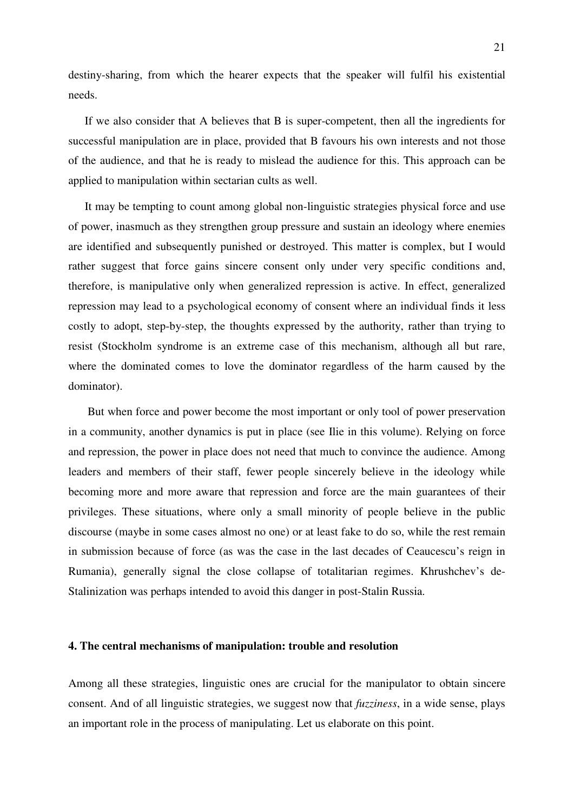destiny-sharing, from which the hearer expects that the speaker will fulfil his existential needs.

If we also consider that A believes that B is super-competent, then all the ingredients for successful manipulation are in place, provided that B favours his own interests and not those of the audience, and that he is ready to mislead the audience for this. This approach can be applied to manipulation within sectarian cults as well.

It may be tempting to count among global non-linguistic strategies physical force and use of power, inasmuch as they strengthen group pressure and sustain an ideology where enemies are identified and subsequently punished or destroyed. This matter is complex, but I would rather suggest that force gains sincere consent only under very specific conditions and, therefore, is manipulative only when generalized repression is active. In effect, generalized repression may lead to a psychological economy of consent where an individual finds it less costly to adopt, step-by-step, the thoughts expressed by the authority, rather than trying to resist (Stockholm syndrome is an extreme case of this mechanism, although all but rare, where the dominated comes to love the dominator regardless of the harm caused by the dominator).

 But when force and power become the most important or only tool of power preservation in a community, another dynamics is put in place (see Ilie in this volume). Relying on force and repression, the power in place does not need that much to convince the audience. Among leaders and members of their staff, fewer people sincerely believe in the ideology while becoming more and more aware that repression and force are the main guarantees of their privileges. These situations, where only a small minority of people believe in the public discourse (maybe in some cases almost no one) or at least fake to do so, while the rest remain in submission because of force (as was the case in the last decades of Ceaucescu's reign in Rumania), generally signal the close collapse of totalitarian regimes. Khrushchev's de-Stalinization was perhaps intended to avoid this danger in post-Stalin Russia.

# **4. The central mechanisms of manipulation: trouble and resolution**

Among all these strategies, linguistic ones are crucial for the manipulator to obtain sincere consent. And of all linguistic strategies, we suggest now that *fuzziness*, in a wide sense, plays an important role in the process of manipulating. Let us elaborate on this point.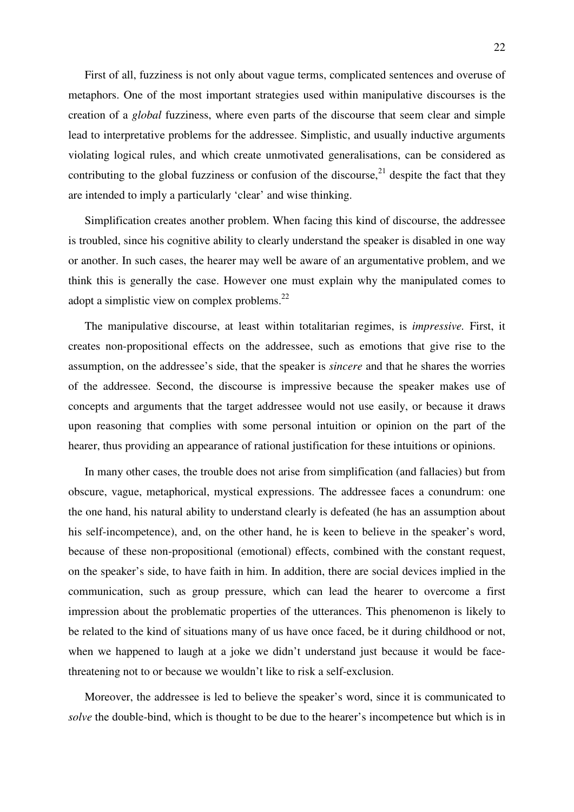First of all, fuzziness is not only about vague terms, complicated sentences and overuse of metaphors. One of the most important strategies used within manipulative discourses is the creation of a *global* fuzziness, where even parts of the discourse that seem clear and simple lead to interpretative problems for the addressee. Simplistic, and usually inductive arguments violating logical rules, and which create unmotivated generalisations, can be considered as contributing to the global fuzziness or confusion of the discourse, $21$  despite the fact that they are intended to imply a particularly 'clear' and wise thinking.

Simplification creates another problem. When facing this kind of discourse, the addressee is troubled, since his cognitive ability to clearly understand the speaker is disabled in one way or another. In such cases, the hearer may well be aware of an argumentative problem, and we think this is generally the case. However one must explain why the manipulated comes to adopt a simplistic view on complex problems.<sup>22</sup>

The manipulative discourse, at least within totalitarian regimes, is *impressive.* First, it creates non-propositional effects on the addressee, such as emotions that give rise to the assumption, on the addressee's side, that the speaker is *sincere* and that he shares the worries of the addressee. Second, the discourse is impressive because the speaker makes use of concepts and arguments that the target addressee would not use easily, or because it draws upon reasoning that complies with some personal intuition or opinion on the part of the hearer, thus providing an appearance of rational justification for these intuitions or opinions.

In many other cases, the trouble does not arise from simplification (and fallacies) but from obscure, vague, metaphorical, mystical expressions. The addressee faces a conundrum: one the one hand, his natural ability to understand clearly is defeated (he has an assumption about his self-incompetence), and, on the other hand, he is keen to believe in the speaker's word, because of these non-propositional (emotional) effects, combined with the constant request, on the speaker's side, to have faith in him. In addition, there are social devices implied in the communication, such as group pressure, which can lead the hearer to overcome a first impression about the problematic properties of the utterances. This phenomenon is likely to be related to the kind of situations many of us have once faced, be it during childhood or not, when we happened to laugh at a joke we didn't understand just because it would be facethreatening not to or because we wouldn't like to risk a self-exclusion.

Moreover, the addressee is led to believe the speaker's word, since it is communicated to *solve* the double-bind, which is thought to be due to the hearer's incompetence but which is in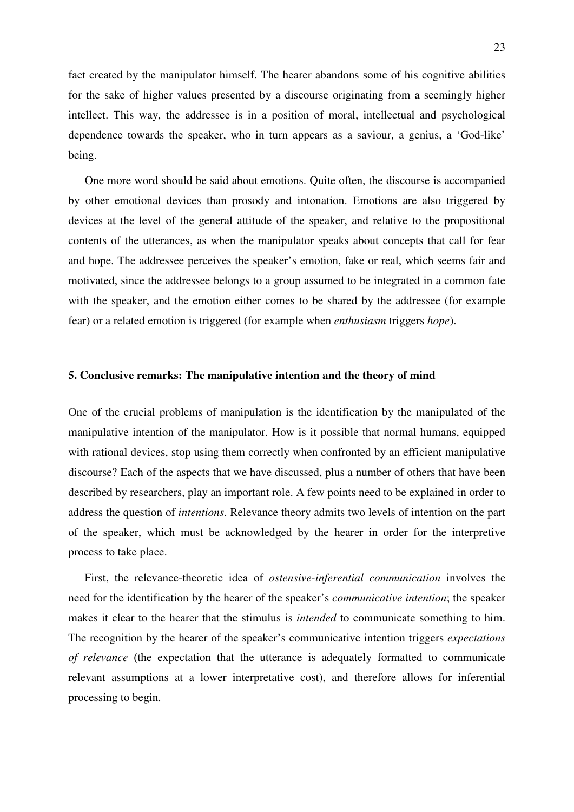fact created by the manipulator himself. The hearer abandons some of his cognitive abilities for the sake of higher values presented by a discourse originating from a seemingly higher intellect. This way, the addressee is in a position of moral, intellectual and psychological dependence towards the speaker, who in turn appears as a saviour, a genius, a 'God-like' being.

One more word should be said about emotions. Quite often, the discourse is accompanied by other emotional devices than prosody and intonation. Emotions are also triggered by devices at the level of the general attitude of the speaker, and relative to the propositional contents of the utterances, as when the manipulator speaks about concepts that call for fear and hope. The addressee perceives the speaker's emotion, fake or real, which seems fair and motivated, since the addressee belongs to a group assumed to be integrated in a common fate with the speaker, and the emotion either comes to be shared by the addressee (for example fear) or a related emotion is triggered (for example when *enthusiasm* triggers *hope*).

# **5. Conclusive remarks: The manipulative intention and the theory of mind**

One of the crucial problems of manipulation is the identification by the manipulated of the manipulative intention of the manipulator. How is it possible that normal humans, equipped with rational devices, stop using them correctly when confronted by an efficient manipulative discourse? Each of the aspects that we have discussed, plus a number of others that have been described by researchers, play an important role. A few points need to be explained in order to address the question of *intentions*. Relevance theory admits two levels of intention on the part of the speaker, which must be acknowledged by the hearer in order for the interpretive process to take place.

First, the relevance-theoretic idea of *ostensive-inferential communication* involves the need for the identification by the hearer of the speaker's *communicative intention*; the speaker makes it clear to the hearer that the stimulus is *intended* to communicate something to him. The recognition by the hearer of the speaker's communicative intention triggers *expectations of relevance* (the expectation that the utterance is adequately formatted to communicate relevant assumptions at a lower interpretative cost), and therefore allows for inferential processing to begin.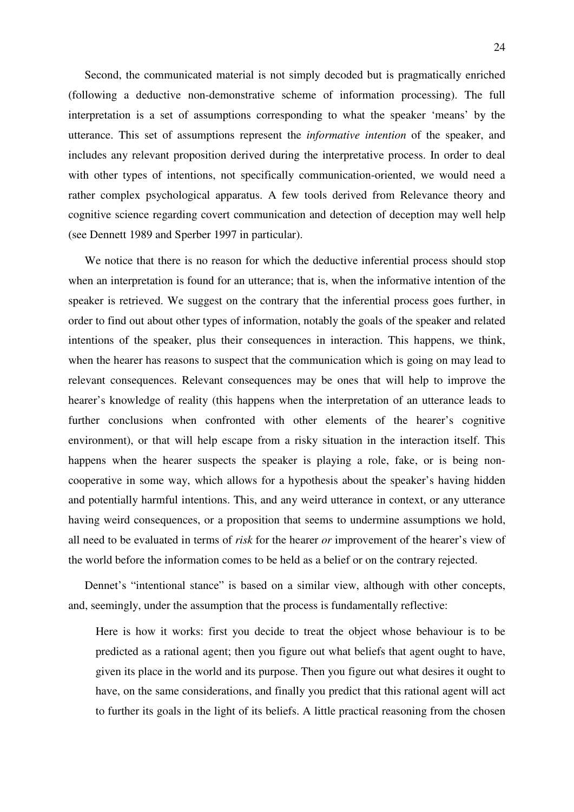Second, the communicated material is not simply decoded but is pragmatically enriched (following a deductive non-demonstrative scheme of information processing). The full interpretation is a set of assumptions corresponding to what the speaker 'means' by the utterance. This set of assumptions represent the *informative intention* of the speaker, and includes any relevant proposition derived during the interpretative process. In order to deal with other types of intentions, not specifically communication-oriented, we would need a rather complex psychological apparatus. A few tools derived from Relevance theory and cognitive science regarding covert communication and detection of deception may well help (see Dennett 1989 and Sperber 1997 in particular).

We notice that there is no reason for which the deductive inferential process should stop when an interpretation is found for an utterance; that is, when the informative intention of the speaker is retrieved. We suggest on the contrary that the inferential process goes further, in order to find out about other types of information, notably the goals of the speaker and related intentions of the speaker, plus their consequences in interaction. This happens, we think, when the hearer has reasons to suspect that the communication which is going on may lead to relevant consequences. Relevant consequences may be ones that will help to improve the hearer's knowledge of reality (this happens when the interpretation of an utterance leads to further conclusions when confronted with other elements of the hearer's cognitive environment), or that will help escape from a risky situation in the interaction itself. This happens when the hearer suspects the speaker is playing a role, fake, or is being noncooperative in some way, which allows for a hypothesis about the speaker's having hidden and potentially harmful intentions. This, and any weird utterance in context, or any utterance having weird consequences, or a proposition that seems to undermine assumptions we hold, all need to be evaluated in terms of *risk* for the hearer *or* improvement of the hearer's view of the world before the information comes to be held as a belief or on the contrary rejected.

Dennet's "intentional stance" is based on a similar view, although with other concepts, and, seemingly, under the assumption that the process is fundamentally reflective:

Here is how it works: first you decide to treat the object whose behaviour is to be predicted as a rational agent; then you figure out what beliefs that agent ought to have, given its place in the world and its purpose. Then you figure out what desires it ought to have, on the same considerations, and finally you predict that this rational agent will act to further its goals in the light of its beliefs. A little practical reasoning from the chosen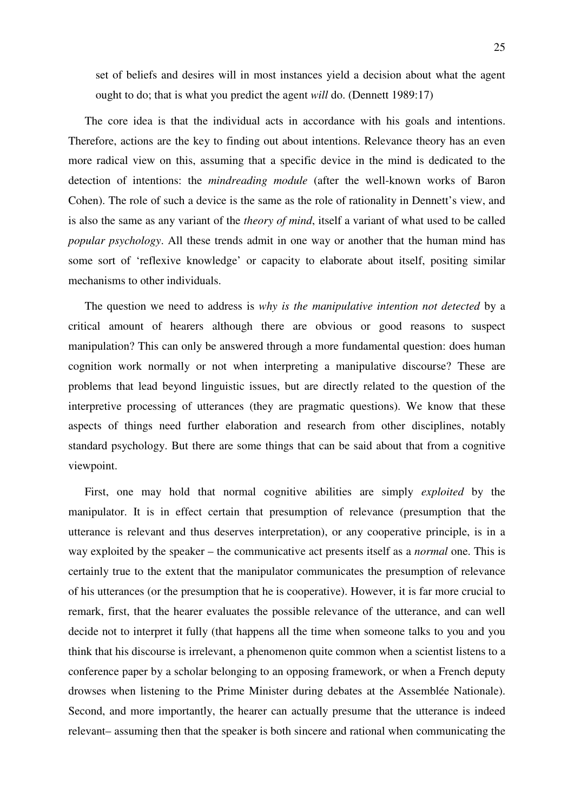set of beliefs and desires will in most instances yield a decision about what the agent ought to do; that is what you predict the agent *will* do. (Dennett 1989:17)

The core idea is that the individual acts in accordance with his goals and intentions. Therefore, actions are the key to finding out about intentions. Relevance theory has an even more radical view on this, assuming that a specific device in the mind is dedicated to the detection of intentions: the *mindreading module* (after the well-known works of Baron Cohen). The role of such a device is the same as the role of rationality in Dennett's view, and is also the same as any variant of the *theory of mind*, itself a variant of what used to be called *popular psychology*. All these trends admit in one way or another that the human mind has some sort of 'reflexive knowledge' or capacity to elaborate about itself, positing similar mechanisms to other individuals.

The question we need to address is *why is the manipulative intention not detected* by a critical amount of hearers although there are obvious or good reasons to suspect manipulation? This can only be answered through a more fundamental question: does human cognition work normally or not when interpreting a manipulative discourse? These are problems that lead beyond linguistic issues, but are directly related to the question of the interpretive processing of utterances (they are pragmatic questions). We know that these aspects of things need further elaboration and research from other disciplines, notably standard psychology. But there are some things that can be said about that from a cognitive viewpoint.

First, one may hold that normal cognitive abilities are simply *exploited* by the manipulator. It is in effect certain that presumption of relevance (presumption that the utterance is relevant and thus deserves interpretation), or any cooperative principle, is in a way exploited by the speaker – the communicative act presents itself as a *normal* one. This is certainly true to the extent that the manipulator communicates the presumption of relevance of his utterances (or the presumption that he is cooperative). However, it is far more crucial to remark, first, that the hearer evaluates the possible relevance of the utterance, and can well decide not to interpret it fully (that happens all the time when someone talks to you and you think that his discourse is irrelevant, a phenomenon quite common when a scientist listens to a conference paper by a scholar belonging to an opposing framework, or when a French deputy drowses when listening to the Prime Minister during debates at the Assemblée Nationale). Second, and more importantly, the hearer can actually presume that the utterance is indeed relevant– assuming then that the speaker is both sincere and rational when communicating the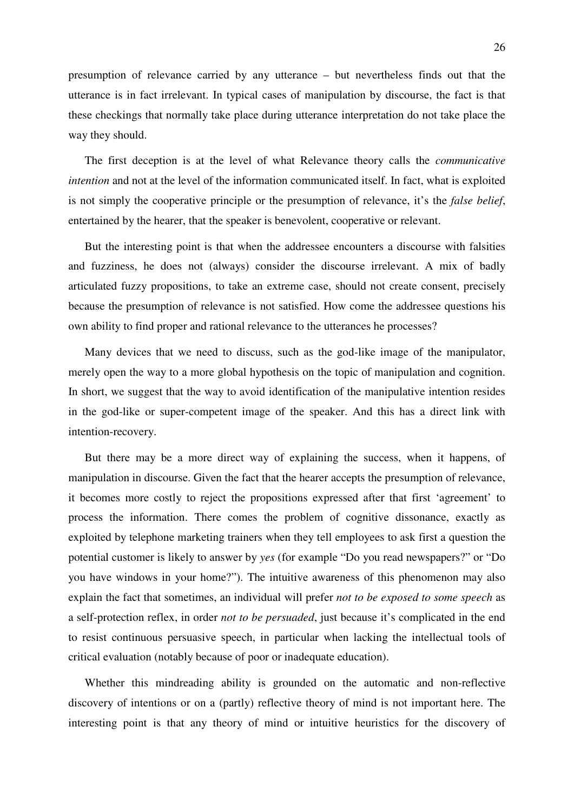presumption of relevance carried by any utterance – but nevertheless finds out that the utterance is in fact irrelevant. In typical cases of manipulation by discourse, the fact is that these checkings that normally take place during utterance interpretation do not take place the way they should.

The first deception is at the level of what Relevance theory calls the *communicative intention* and not at the level of the information communicated itself. In fact, what is exploited is not simply the cooperative principle or the presumption of relevance, it's the *false belief*, entertained by the hearer, that the speaker is benevolent, cooperative or relevant.

But the interesting point is that when the addressee encounters a discourse with falsities and fuzziness, he does not (always) consider the discourse irrelevant. A mix of badly articulated fuzzy propositions, to take an extreme case, should not create consent, precisely because the presumption of relevance is not satisfied. How come the addressee questions his own ability to find proper and rational relevance to the utterances he processes?

Many devices that we need to discuss, such as the god-like image of the manipulator, merely open the way to a more global hypothesis on the topic of manipulation and cognition. In short, we suggest that the way to avoid identification of the manipulative intention resides in the god-like or super-competent image of the speaker. And this has a direct link with intention-recovery.

But there may be a more direct way of explaining the success, when it happens, of manipulation in discourse. Given the fact that the hearer accepts the presumption of relevance, it becomes more costly to reject the propositions expressed after that first 'agreement' to process the information. There comes the problem of cognitive dissonance, exactly as exploited by telephone marketing trainers when they tell employees to ask first a question the potential customer is likely to answer by *yes* (for example "Do you read newspapers?" or "Do you have windows in your home?"). The intuitive awareness of this phenomenon may also explain the fact that sometimes, an individual will prefer *not to be exposed to some speech* as a self-protection reflex, in order *not to be persuaded*, just because it's complicated in the end to resist continuous persuasive speech, in particular when lacking the intellectual tools of critical evaluation (notably because of poor or inadequate education).

Whether this mindreading ability is grounded on the automatic and non-reflective discovery of intentions or on a (partly) reflective theory of mind is not important here. The interesting point is that any theory of mind or intuitive heuristics for the discovery of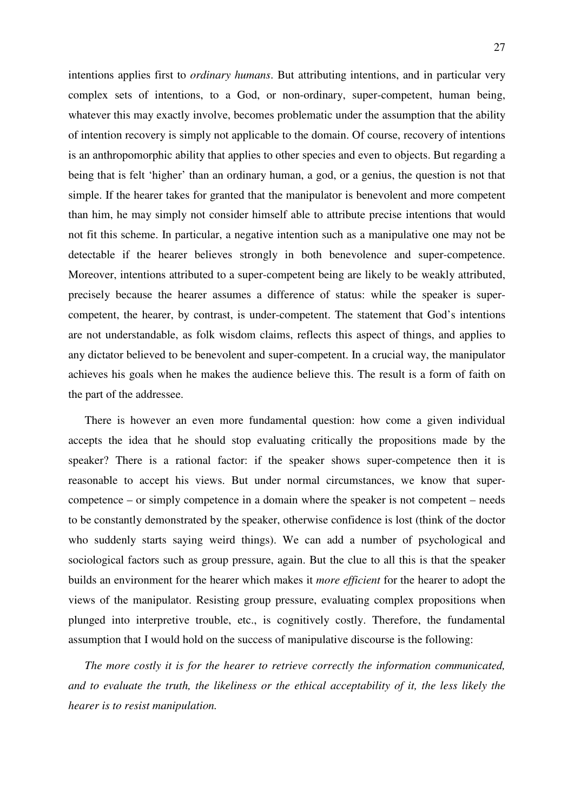intentions applies first to *ordinary humans*. But attributing intentions, and in particular very complex sets of intentions, to a God, or non-ordinary, super-competent, human being, whatever this may exactly involve, becomes problematic under the assumption that the ability of intention recovery is simply not applicable to the domain. Of course, recovery of intentions is an anthropomorphic ability that applies to other species and even to objects. But regarding a being that is felt 'higher' than an ordinary human, a god, or a genius, the question is not that simple. If the hearer takes for granted that the manipulator is benevolent and more competent than him, he may simply not consider himself able to attribute precise intentions that would not fit this scheme. In particular, a negative intention such as a manipulative one may not be detectable if the hearer believes strongly in both benevolence and super-competence. Moreover, intentions attributed to a super-competent being are likely to be weakly attributed, precisely because the hearer assumes a difference of status: while the speaker is supercompetent, the hearer, by contrast, is under-competent. The statement that God's intentions are not understandable, as folk wisdom claims, reflects this aspect of things, and applies to any dictator believed to be benevolent and super-competent. In a crucial way, the manipulator achieves his goals when he makes the audience believe this. The result is a form of faith on the part of the addressee.

There is however an even more fundamental question: how come a given individual accepts the idea that he should stop evaluating critically the propositions made by the speaker? There is a rational factor: if the speaker shows super-competence then it is reasonable to accept his views. But under normal circumstances, we know that supercompetence – or simply competence in a domain where the speaker is not competent – needs to be constantly demonstrated by the speaker, otherwise confidence is lost (think of the doctor who suddenly starts saying weird things). We can add a number of psychological and sociological factors such as group pressure, again. But the clue to all this is that the speaker builds an environment for the hearer which makes it *more efficient* for the hearer to adopt the views of the manipulator. Resisting group pressure, evaluating complex propositions when plunged into interpretive trouble, etc., is cognitively costly. Therefore, the fundamental assumption that I would hold on the success of manipulative discourse is the following:

*The more costly it is for the hearer to retrieve correctly the information communicated, and to evaluate the truth, the likeliness or the ethical acceptability of it, the less likely the hearer is to resist manipulation.*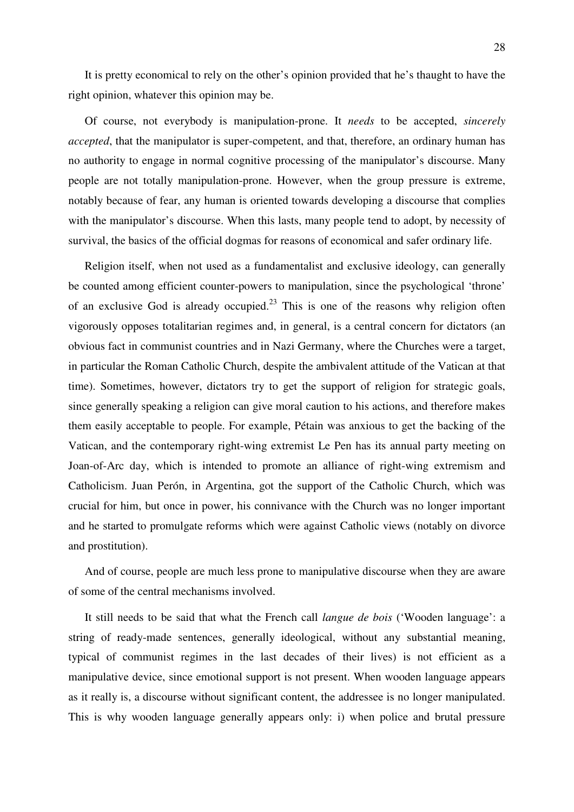It is pretty economical to rely on the other's opinion provided that he's thaught to have the right opinion, whatever this opinion may be.

Of course, not everybody is manipulation-prone. It *needs* to be accepted, *sincerely accepted*, that the manipulator is super-competent, and that, therefore, an ordinary human has no authority to engage in normal cognitive processing of the manipulator's discourse. Many people are not totally manipulation-prone. However, when the group pressure is extreme, notably because of fear, any human is oriented towards developing a discourse that complies with the manipulator's discourse. When this lasts, many people tend to adopt, by necessity of survival, the basics of the official dogmas for reasons of economical and safer ordinary life.

Religion itself, when not used as a fundamentalist and exclusive ideology, can generally be counted among efficient counter-powers to manipulation, since the psychological 'throne' of an exclusive God is already occupied.<sup>23</sup> This is one of the reasons why religion often vigorously opposes totalitarian regimes and, in general, is a central concern for dictators (an obvious fact in communist countries and in Nazi Germany, where the Churches were a target, in particular the Roman Catholic Church, despite the ambivalent attitude of the Vatican at that time). Sometimes, however, dictators try to get the support of religion for strategic goals, since generally speaking a religion can give moral caution to his actions, and therefore makes them easily acceptable to people. For example, Pétain was anxious to get the backing of the Vatican, and the contemporary right-wing extremist Le Pen has its annual party meeting on Joan-of-Arc day, which is intended to promote an alliance of right-wing extremism and Catholicism. Juan Perón, in Argentina, got the support of the Catholic Church, which was crucial for him, but once in power, his connivance with the Church was no longer important and he started to promulgate reforms which were against Catholic views (notably on divorce and prostitution).

And of course, people are much less prone to manipulative discourse when they are aware of some of the central mechanisms involved.

It still needs to be said that what the French call *langue de bois* ('Wooden language': a string of ready-made sentences, generally ideological, without any substantial meaning, typical of communist regimes in the last decades of their lives) is not efficient as a manipulative device, since emotional support is not present. When wooden language appears as it really is, a discourse without significant content, the addressee is no longer manipulated. This is why wooden language generally appears only: i) when police and brutal pressure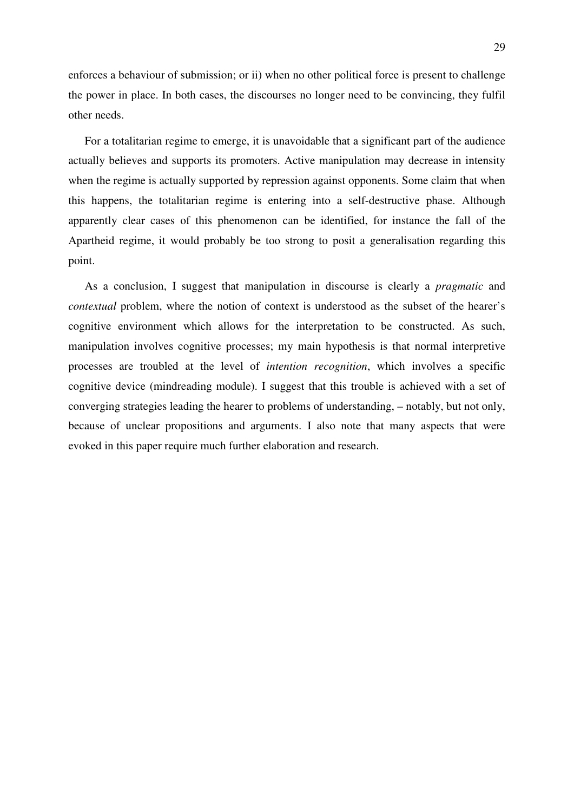enforces a behaviour of submission; or ii) when no other political force is present to challenge the power in place. In both cases, the discourses no longer need to be convincing, they fulfil other needs.

For a totalitarian regime to emerge, it is unavoidable that a significant part of the audience actually believes and supports its promoters. Active manipulation may decrease in intensity when the regime is actually supported by repression against opponents. Some claim that when this happens, the totalitarian regime is entering into a self-destructive phase. Although apparently clear cases of this phenomenon can be identified, for instance the fall of the Apartheid regime, it would probably be too strong to posit a generalisation regarding this point.

As a conclusion, I suggest that manipulation in discourse is clearly a *pragmatic* and *contextual* problem, where the notion of context is understood as the subset of the hearer's cognitive environment which allows for the interpretation to be constructed. As such, manipulation involves cognitive processes; my main hypothesis is that normal interpretive processes are troubled at the level of *intention recognition*, which involves a specific cognitive device (mindreading module). I suggest that this trouble is achieved with a set of converging strategies leading the hearer to problems of understanding, – notably, but not only, because of unclear propositions and arguments. I also note that many aspects that were evoked in this paper require much further elaboration and research.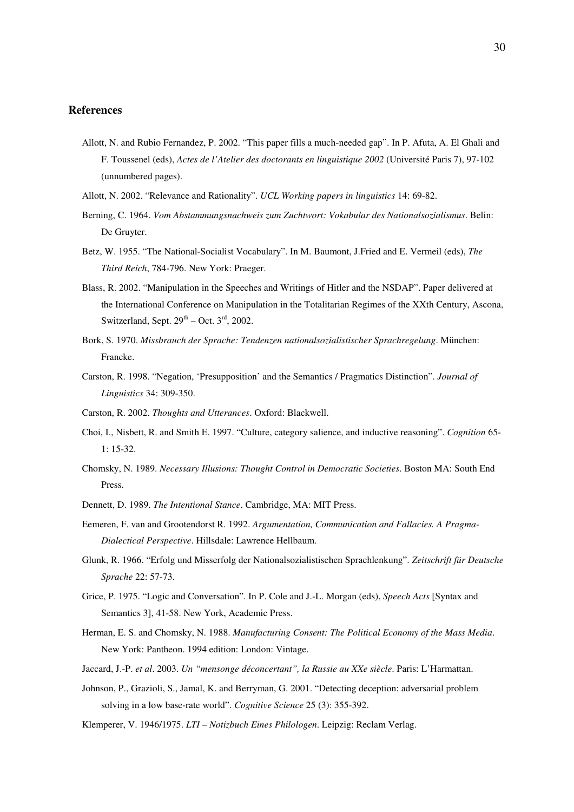#### **References**

- Allott, N. and Rubio Fernandez, P. 2002. "This paper fills a much-needed gap". In P. Afuta, A. El Ghali and F. Toussenel (eds), *Actes de l'Atelier des doctorants en linguistique 2002* (Université Paris 7), 97-102 (unnumbered pages).
- Allott, N. 2002. "Relevance and Rationality". *UCL Working papers in linguistics* 14: 69-82.
- Berning, C. 1964. *Vom Abstammungsnachweis zum Zuchtwort: Vokabular des Nationalsozialismus*. Belin: De Gruyter.
- Betz, W. 1955. "The National-Socialist Vocabulary". In M. Baumont, J.Fried and E. Vermeil (eds), *The Third Reich*, 784-796. New York: Praeger.
- Blass, R. 2002. "Manipulation in the Speeches and Writings of Hitler and the NSDAP". Paper delivered at the International Conference on Manipulation in the Totalitarian Regimes of the XXth Century, Ascona, Switzerland, Sept.  $29^{th}$  – Oct.  $3^{rd}$ , 2002.
- Bork, S. 1970. *Missbrauch der Sprache: Tendenzen nationalsozialistischer Sprachregelung*. München: Francke.
- Carston, R. 1998. "Negation, 'Presupposition' and the Semantics / Pragmatics Distinction". *Journal of Linguistics* 34: 309-350.
- Carston, R. 2002. *Thoughts and Utterances*. Oxford: Blackwell.
- Choi, I., Nisbett, R. and Smith E. 1997. "Culture, category salience, and inductive reasoning". *Cognition* 65- 1: 15-32.
- Chomsky, N. 1989. *Necessary Illusions: Thought Control in Democratic Societies*. Boston MA: South End Press.
- Dennett, D. 1989. *The Intentional Stance*. Cambridge, MA: MIT Press.
- Eemeren, F. van and Grootendorst R. 1992. *Argumentation, Communication and Fallacies. A Pragma-Dialectical Perspective*. Hillsdale: Lawrence Hellbaum.
- Glunk, R. 1966. "Erfolg und Misserfolg der Nationalsozialistischen Sprachlenkung". *Zeitschrift für Deutsche Sprache* 22: 57-73.
- Grice, P. 1975. "Logic and Conversation". In P. Cole and J.-L. Morgan (eds), *Speech Acts* [Syntax and Semantics 3], 41-58. New York, Academic Press.
- Herman, E. S. and Chomsky, N. 1988. *Manufacturing Consent: The Political Economy of the Mass Media*. New York: Pantheon. 1994 edition: London: Vintage.
- Jaccard, J.-P. *et al*. 2003. *Un "mensonge déconcertant", la Russie au XXe siècle*. Paris: L'Harmattan.
- Johnson, P., Grazioli, S., Jamal, K. and Berryman, G. 2001. "Detecting deception: adversarial problem solving in a low base-rate world". *Cognitive Science* 25 (3): 355-392.
- Klemperer, V. 1946/1975. *LTI Notizbuch Eines Philologen*. Leipzig: Reclam Verlag.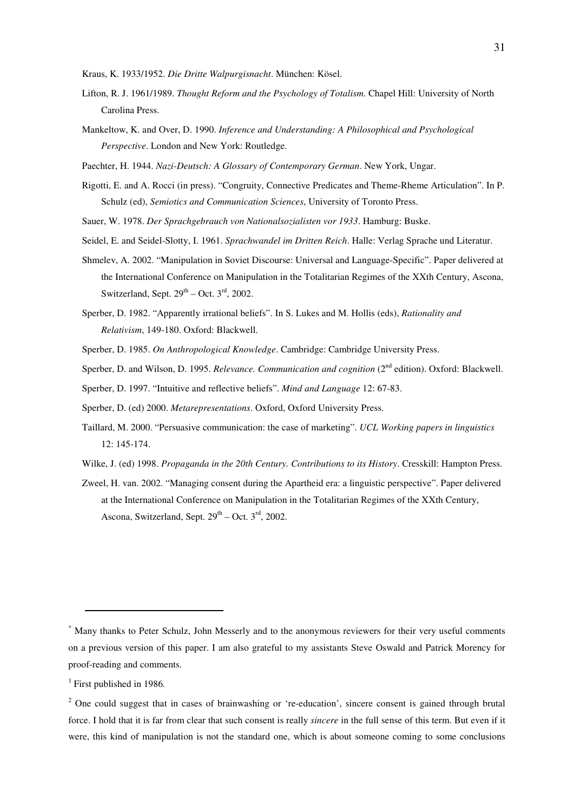Kraus, K. 1933/1952. *Die Dritte Walpurgisnacht*. München: Kösel.

- Lifton, R. J. 1961/1989. *Thought Reform and the Psychology of Totalism*. Chapel Hill: University of North Carolina Press.
- Mankeltow, K. and Over, D. 1990. *Inference and Understanding: A Philosophical and Psychological Perspective*. London and New York: Routledge.
- Paechter, H. 1944. *Nazi-Deutsch: A Glossary of Contemporary German*. New York, Ungar.
- Rigotti, E. and A. Rocci (in press). "Congruity, Connective Predicates and Theme-Rheme Articulation". In P. Schulz (ed), *Semiotics and Communication Sciences*, University of Toronto Press.
- Sauer, W. 1978. *Der Sprachgebrauch von Nationalsozialisten vor 1933*. Hamburg: Buske.
- Seidel, E. and Seidel-Slotty, I. 1961. *Sprachwandel im Dritten Reich*. Halle: Verlag Sprache und Literatur.
- Shmelev, A. 2002. "Manipulation in Soviet Discourse: Universal and Language-Specific". Paper delivered at the International Conference on Manipulation in the Totalitarian Regimes of the XXth Century, Ascona, Switzerland, Sept.  $29<sup>th</sup> - Oct. 3<sup>rd</sup>$ , 2002.
- Sperber, D. 1982. "Apparently irrational beliefs". In S. Lukes and M. Hollis (eds), *Rationality and Relativism*, 149-180. Oxford: Blackwell.
- Sperber, D. 1985. *On Anthropological Knowledge*. Cambridge: Cambridge University Press.
- Sperber, D. and Wilson, D. 1995. *Relevance. Communication and cognition* (2<sup>nd</sup> edition). Oxford: Blackwell.
- Sperber, D. 1997. "Intuitive and reflective beliefs". *Mind and Language* 12: 67-83.
- Sperber, D. (ed) 2000. *Metarepresentations*. Oxford, Oxford University Press.
- Taillard, M. 2000. "Persuasive communication: the case of marketing". *UCL Working papers in linguistics* 12: 145-174.
- Wilke, J. (ed) 1998. *Propaganda in the 20th Century. Contributions to its History*. Cresskill: Hampton Press.
- Zweel, H. van. 2002. "Managing consent during the Apartheid era: a linguistic perspective". Paper delivered at the International Conference on Manipulation in the Totalitarian Regimes of the XXth Century, Ascona, Switzerland, Sept.  $29<sup>th</sup> - Oct. 3<sup>rd</sup>$ , 2002.

 $\overline{a}$ 

<sup>\*</sup> Many thanks to Peter Schulz, John Messerly and to the anonymous reviewers for their very useful comments on a previous version of this paper. I am also grateful to my assistants Steve Oswald and Patrick Morency for proof-reading and comments.

<sup>&</sup>lt;sup>1</sup> First published in 1986.

<sup>&</sup>lt;sup>2</sup> One could suggest that in cases of brainwashing or 're-education', sincere consent is gained through brutal force. I hold that it is far from clear that such consent is really *sincere* in the full sense of this term. But even if it were, this kind of manipulation is not the standard one, which is about someone coming to some conclusions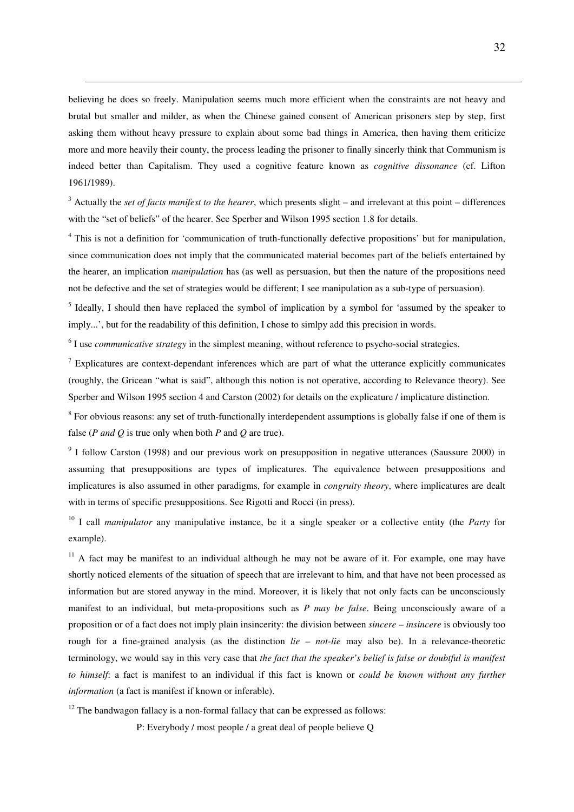believing he does so freely. Manipulation seems much more efficient when the constraints are not heavy and brutal but smaller and milder, as when the Chinese gained consent of American prisoners step by step, first asking them without heavy pressure to explain about some bad things in America, then having them criticize more and more heavily their county, the process leading the prisoner to finally sincerly think that Communism is indeed better than Capitalism. They used a cognitive feature known as *cognitive dissonance* (cf. Lifton 1961/1989).

-

3 Actually the *set of facts manifest to the hearer*, which presents slight – and irrelevant at this point – differences with the "set of beliefs" of the hearer. See Sperber and Wilson 1995 section 1.8 for details.

<sup>4</sup> This is not a definition for 'communication of truth-functionally defective propositions' but for manipulation, since communication does not imply that the communicated material becomes part of the beliefs entertained by the hearer, an implication *manipulation* has (as well as persuasion, but then the nature of the propositions need not be defective and the set of strategies would be different; I see manipulation as a sub-type of persuasion).

<sup>5</sup> Ideally, I should then have replaced the symbol of implication by a symbol for 'assumed by the speaker to imply...', but for the readability of this definition, I chose to simlpy add this precision in words.

<sup>6</sup> I use *communicative strategy* in the simplest meaning, without reference to psycho-social strategies.

 $7$  Explicatures are context-dependant inferences which are part of what the utterance explicitly communicates (roughly, the Gricean "what is said", although this notion is not operative, according to Relevance theory). See Sperber and Wilson 1995 section 4 and Carston (2002) for details on the explicature / implicature distinction.

 $8$  For obvious reasons: any set of truth-functionally interdependent assumptions is globally false if one of them is false (*P and Q* is true only when both *P* and *Q* are true).

<sup>9</sup> I follow Carston (1998) and our previous work on presupposition in negative utterances (Saussure 2000) in assuming that presuppositions are types of implicatures. The equivalence between presuppositions and implicatures is also assumed in other paradigms, for example in *congruity theory*, where implicatures are dealt with in terms of specific presuppositions. See Rigotti and Rocci (in press).

<sup>10</sup> I call *manipulator* any manipulative instance, be it a single speaker or a collective entity (the *Party* for example).

 $11$  A fact may be manifest to an individual although he may not be aware of it. For example, one may have shortly noticed elements of the situation of speech that are irrelevant to him, and that have not been processed as information but are stored anyway in the mind. Moreover, it is likely that not only facts can be unconsciously manifest to an individual, but meta-propositions such as *P may be false*. Being unconsciously aware of a proposition or of a fact does not imply plain insincerity: the division between *sincere* – *insincere* is obviously too rough for a fine-grained analysis (as the distinction *lie – not-lie* may also be). In a relevance-theoretic terminology, we would say in this very case that *the fact that the speaker's belief is false or doubtful is manifest to himself*: a fact is manifest to an individual if this fact is known or *could be known without any further information* (a fact is manifest if known or inferable).

 $12$  The bandwagon fallacy is a non-formal fallacy that can be expressed as follows:

P: Everybody / most people / a great deal of people believe Q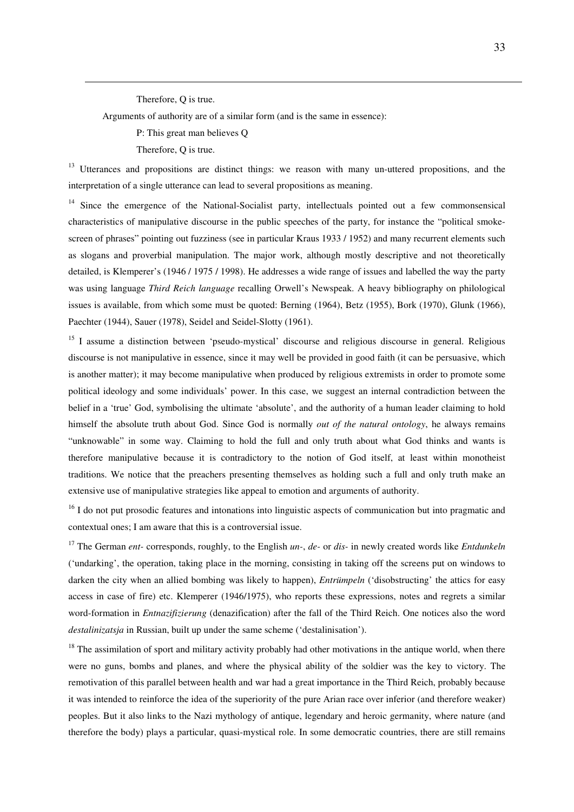Therefore, Q is true.

-

Arguments of authority are of a similar form (and is the same in essence):

P: This great man believes Q

Therefore, Q is true.

<sup>13</sup> Utterances and propositions are distinct things: we reason with many un-uttered propositions, and the interpretation of a single utterance can lead to several propositions as meaning.

<sup>14</sup> Since the emergence of the National-Socialist party, intellectuals pointed out a few commonsensical characteristics of manipulative discourse in the public speeches of the party, for instance the "political smokescreen of phrases" pointing out fuzziness (see in particular Kraus 1933 / 1952) and many recurrent elements such as slogans and proverbial manipulation. The major work, although mostly descriptive and not theoretically detailed, is Klemperer's (1946 / 1975 / 1998). He addresses a wide range of issues and labelled the way the party was using language *Third Reich language* recalling Orwell's Newspeak. A heavy bibliography on philological issues is available, from which some must be quoted: Berning (1964), Betz (1955), Bork (1970), Glunk (1966), Paechter (1944), Sauer (1978), Seidel and Seidel-Slotty (1961).

<sup>15</sup> I assume a distinction between 'pseudo-mystical' discourse and religious discourse in general. Religious discourse is not manipulative in essence, since it may well be provided in good faith (it can be persuasive, which is another matter); it may become manipulative when produced by religious extremists in order to promote some political ideology and some individuals' power. In this case, we suggest an internal contradiction between the belief in a 'true' God, symbolising the ultimate 'absolute', and the authority of a human leader claiming to hold himself the absolute truth about God. Since God is normally *out of the natural ontology*, he always remains "unknowable" in some way. Claiming to hold the full and only truth about what God thinks and wants is therefore manipulative because it is contradictory to the notion of God itself, at least within monotheist traditions. We notice that the preachers presenting themselves as holding such a full and only truth make an extensive use of manipulative strategies like appeal to emotion and arguments of authority.

 $16$  I do not put prosodic features and intonations into linguistic aspects of communication but into pragmatic and contextual ones; I am aware that this is a controversial issue.

<sup>17</sup> The German *ent-* corresponds, roughly, to the English *un-*, *de-* or *dis-* in newly created words like *Entdunkeln* ('undarking', the operation, taking place in the morning, consisting in taking off the screens put on windows to darken the city when an allied bombing was likely to happen), *Entrümpeln* ('disobstructing' the attics for easy access in case of fire) etc. Klemperer (1946/1975), who reports these expressions, notes and regrets a similar word-formation in *Entnazifizierung* (denazification) after the fall of the Third Reich. One notices also the word *destalinizatsja* in Russian, built up under the same scheme ('destalinisation').

 $18$  The assimilation of sport and military activity probably had other motivations in the antique world, when there were no guns, bombs and planes, and where the physical ability of the soldier was the key to victory. The remotivation of this parallel between health and war had a great importance in the Third Reich, probably because it was intended to reinforce the idea of the superiority of the pure Arian race over inferior (and therefore weaker) peoples. But it also links to the Nazi mythology of antique, legendary and heroic germanity, where nature (and therefore the body) plays a particular, quasi-mystical role. In some democratic countries, there are still remains